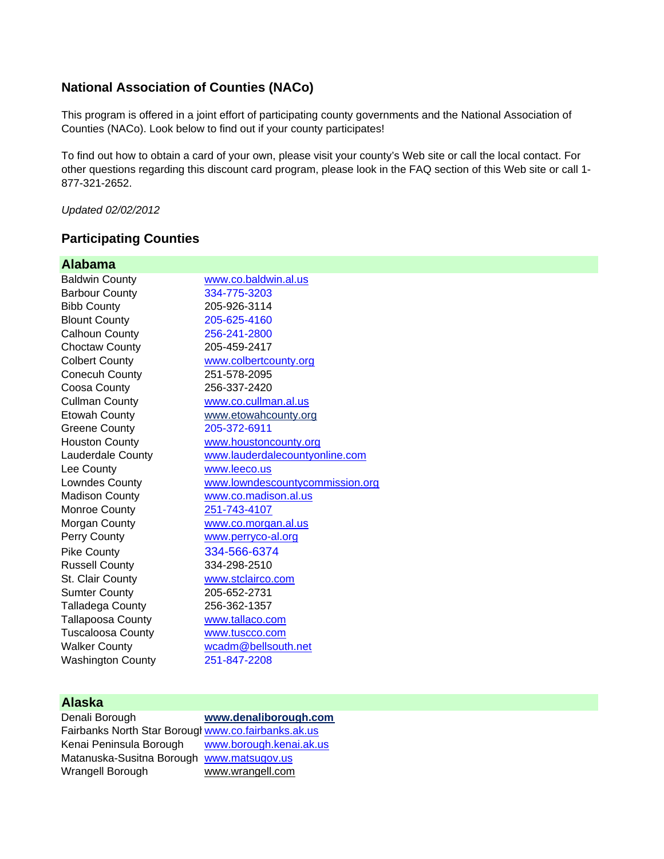# **National Association of Counties (NACo)**

This program is offered in a joint effort of participating county governments and the National Association of Counties (NACo). Look below to find out if your county participates!

To find out how to obtain a card of your own, please visit your county's Web site or call the local contact. For other questions regarding this discount card program, please look in the FAQ section of this Web site or call 1- 877-321-2652.

*Updated 02/02/2012*

# **Participating Counties**

| <b>Alabama</b>           |                                 |
|--------------------------|---------------------------------|
| <b>Baldwin County</b>    | www.co.baldwin.al.us            |
| <b>Barbour County</b>    | 334-775-3203                    |
| <b>Bibb County</b>       | 205-926-3114                    |
| <b>Blount County</b>     | 205-625-4160                    |
| Calhoun County           | 256-241-2800                    |
| <b>Choctaw County</b>    | 205-459-2417                    |
| <b>Colbert County</b>    | www.colbertcounty.org           |
| <b>Conecuh County</b>    | 251-578-2095                    |
| Coosa County             | 256-337-2420                    |
| <b>Cullman County</b>    | www.co.cullman.al.us            |
| <b>Etowah County</b>     | www.etowahcounty.org            |
| <b>Greene County</b>     | 205-372-6911                    |
| <b>Houston County</b>    | www.houstoncounty.org           |
| Lauderdale County        | www.lauderdalecountyonline.com  |
| Lee County               | www.leeco.us                    |
| Lowndes County           | www.lowndescountycommission.org |
| <b>Madison County</b>    | www.co.madison.al.us            |
| Monroe County            | 251-743-4107                    |
| Morgan County            | www.co.morgan.al.us             |
| Perry County             | www.perryco-al.org              |
| <b>Pike County</b>       | 334-566-6374                    |
| <b>Russell County</b>    | 334-298-2510                    |
| St. Clair County         | www.stclairco.com               |
| <b>Sumter County</b>     | 205-652-2731                    |
| <b>Talladega County</b>  | 256-362-1357                    |
| Tallapoosa County        | www.tallaco.com                 |
| <b>Tuscaloosa County</b> | www.tuscco.com                  |
| <b>Walker County</b>     | wcadm@bellsouth.net             |
| <b>Washington County</b> | 251-847-2208                    |
|                          |                                 |

# **Alaska**

| Denali Borough                                      | www.denaliborough.com   |
|-----------------------------------------------------|-------------------------|
| Fairbanks North Star Borougl www.co.fairbanks.ak.us |                         |
| Kenai Peninsula Borough                             | www.borough.kenai.ak.us |
| Matanuska-Susitna Borough www.matsugov.us           |                         |
| Wrangell Borough                                    | www.wrangell.com        |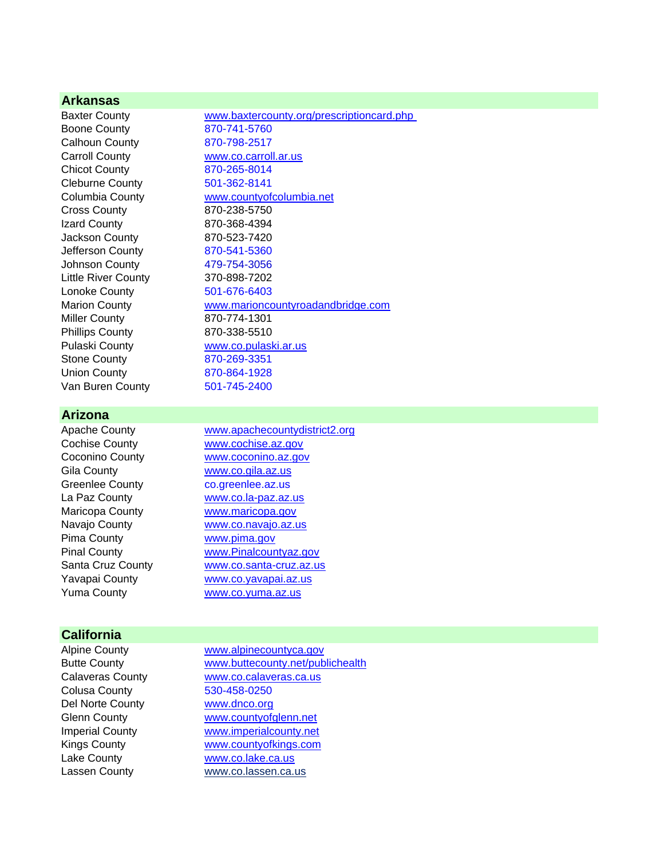#### **Arkansas**

Boone County 870-741-5760 Calhoun County 870-798-2517 Chicot County 870-265-8014 Cleburne County 501-362-8141 Cross County 870-238-5750 Izard County 870-368-4394 Jackson County 870-523-7420 Jefferson County 870-541-5360 Johnson County 479-754-3056 Little River County 370-898-7202 Lonoke County 501-676-6403 Miller County 870-774-1301 Phillips County 870-338-5510 Stone County 870-269-3351 Union County 870-864-1928 Van Buren County 501-745-2400

Baxter County **www.baxtercounty.org/prescriptioncard.php** Carroll County www.co.carroll.ar.us Columbia County www.countyofcolumbia.net Marion County www.marioncountyroadandbridge.com Pulaski County www.co.pulaski.ar.us

#### **Arizona**

| <b>Apache County</b>   | www.apachecountydistrict2.org |
|------------------------|-------------------------------|
| <b>Cochise County</b>  | www.cochise.az.gov            |
| Coconino County        | www.coconino.az.gov           |
| Gila County            | www.co.gila.az.us             |
| <b>Greenlee County</b> | co.greenlee.az.us             |
| La Paz County          | www.co.la-paz.az.us           |
| Maricopa County        | www.maricopa.gov              |
| Navajo County          | www.co.navajo.az.us           |
| Pima County            | www.pima.gov                  |
| <b>Pinal County</b>    | www.Pinalcountyaz.gov         |
| Santa Cruz County      | www.co.santa-cruz.az.us       |
| Yavapai County         | www.co.yavapai.az.us          |
| Yuma County            | www.co.yuma.az.us             |

#### **California**

Colusa County 530-458-0250 Del Norte County **www.dnco.org** 

Alpine County www.alpinecountyca.gov Butte County **WWW.buttecounty.net/publichealth** Calaveras County www.co.calaveras.ca.us Glenn County www.countyofglenn.net Imperial County **www.imperialcounty.net** Kings County **WWW.countyofkings.com** Lake County **WWW.CO.lake.ca.us** Lassen County www.co.lassen.ca.us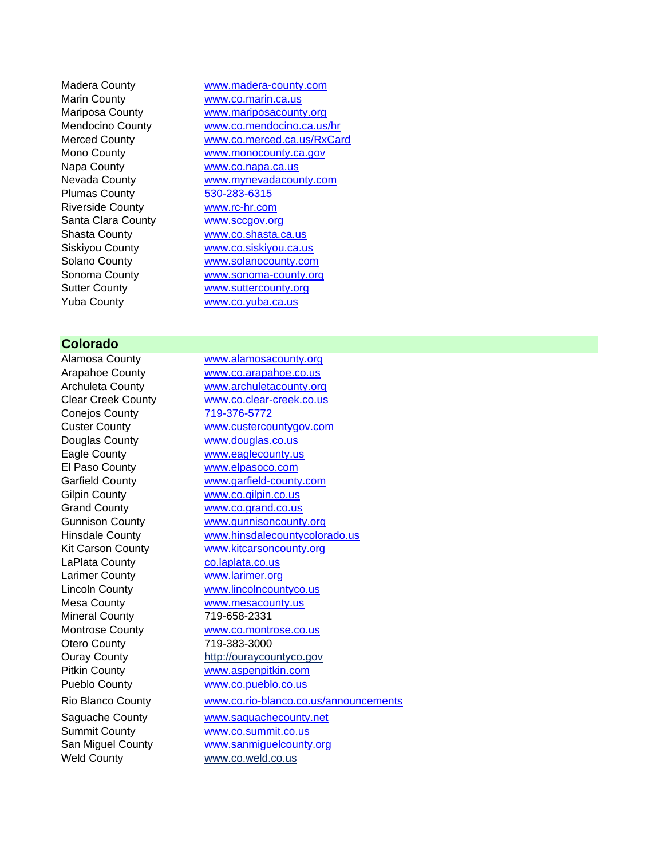Napa County WWW.co.napa.ca.us Plumas County 530-283-6315 Riverside County **www.rc-hr.com** Santa Clara County **www.sccgov.org** Yuba County www.co.yuba.ca.us

Madera County www.madera-county.com Marin County **WWW.CO.marin.ca.us** Mariposa County www.mariposacounty.org Mendocino County www.co.mendocino.ca.us/hr Merced County **www.co.merced.ca.us/RxCard** Mono County **www.monocounty.ca.gov** Nevada County www.mynevadacounty.com Shasta County www.co.shasta.ca.us Siskiyou County www.co.siskiyou.ca.us Solano County **www.solanocounty.com** Sonoma County **www.sonoma-county.org** Sutter County **www.suttercounty.org** 

#### **Colorado**

Conejos County 719-376-5772 Douglas County www.douglas.co.us LaPlata County co.laplata.co.us Larimer County **www.larimer.org** Mineral County 719-658-2331 Otero County 719-383-3000

Alamosa County www.alamosacounty.org Arapahoe County **www.co.arapahoe.co.us** Archuleta County www.archuletacounty.org Clear Creek County www.co.clear-creek.co.us Custer County www.custercountygov.com Eagle County **WWW.eaglecounty.us** El Paso County www.elpasoco.com Garfield County www.garfield-county.com Gilpin County **www.co.gilpin.co.us** Grand County www.co.grand.co.us Gunnison County www.gunnisoncounty.org Hinsdale County www.hinsdalecountycolorado.us Kit Carson County **www.kitcarsoncounty.org** Lincoln County www.lincolncountyco.us Mesa County **WWW.mesacounty.us** Montrose County www.co.montrose.co.us Ouray County **http://ouraycountyco.gov** Pitkin County www.aspenpitkin.com Pueblo County www.co.pueblo.co.us Rio Blanco County www.co.rio-blanco.co.us/announcements Saguache County www.saguachecounty.net Summit County WWW.co.summit.co.us San Miguel County **www.sanmiguelcounty.org** Weld County **WELD WWW.CO.WELG.CO.US**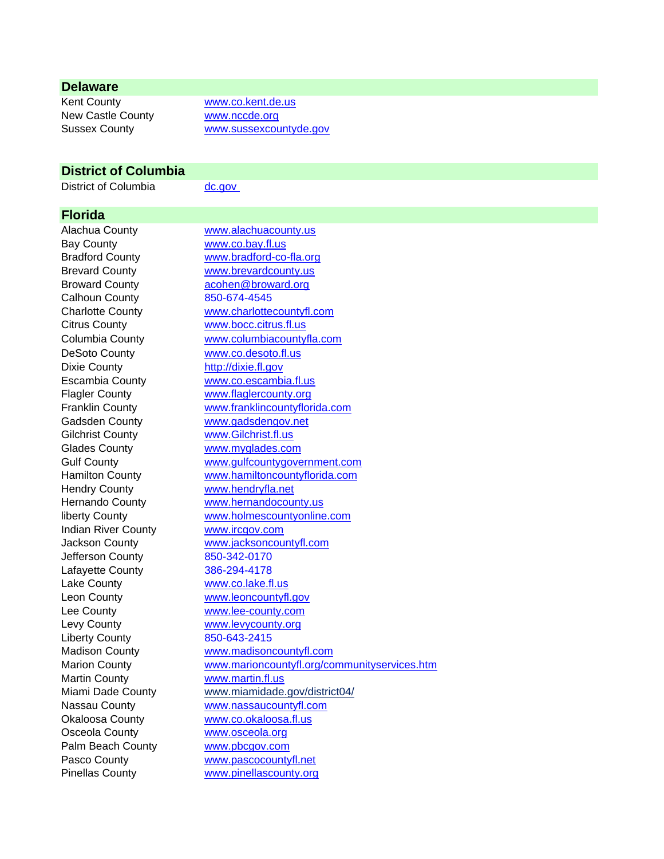# **Delaware**

New Castle County WWW.nccde.org

Kent County WWW.co.kent.de.us Sussex County www.sussexcountyde.gov

# **District of Columbia**

District of Columbia dc.gov

# **Florida**

Alachua County www.alachuacounty.us Bay County www.co.bay.fl.us Calhoun County 850-674-4545 Dixie County http://dixie.fl.gov Gilchrist County **www.Gilchrist.fl.us** Hendry County www.hendryfla.net Indian River County www.ircgov.com Jefferson County 850-342-0170 Lafayette County 386-294-4178 Lake County **WWW.CO.lake.fl.us** Liberty County 850-643-2415 Martin County **www.martin.fl.us** Osceola County www.osceola.org Palm Beach County www.pbcgov.com

Bradford County www.bradford-co-fla.org Brevard County www.brevardcounty.us Broward County acohen@broward.org Charlotte County www.charlottecountyfl.com Citrus County www.bocc.citrus.fl.us Columbia County www.columbiacountyfla.com DeSoto County www.co.desoto.fl.us Escambia County www.co.escambia.fl.us Flagler County **www.flaglercounty.org** Franklin County www.franklincountyflorida.com Gadsden County www.gadsdengov.net Glades County www.myglades.com Gulf County www.gulfcountygovernment.com Hamilton County www.hamiltoncountyflorida.com Hernando County www.hernandocounty.us liberty County www.holmescountyonline.com Jackson County www.jacksoncountyfl.com Leon County **www.leoncountyfl.gov** Lee County www.lee-county.com Levy County **WWW.levycounty.org** Madison County www.madisoncountyfl.com Marion County www.marioncountyfl.org/communityservices.htm Miami Dade County www.miamidade.gov/district04/ Nassau County www.nassaucountyfl.com Okaloosa County www.co.okaloosa.fl.us Pasco County **www.pascocountyfl.net** Pinellas County www.pinellascounty.org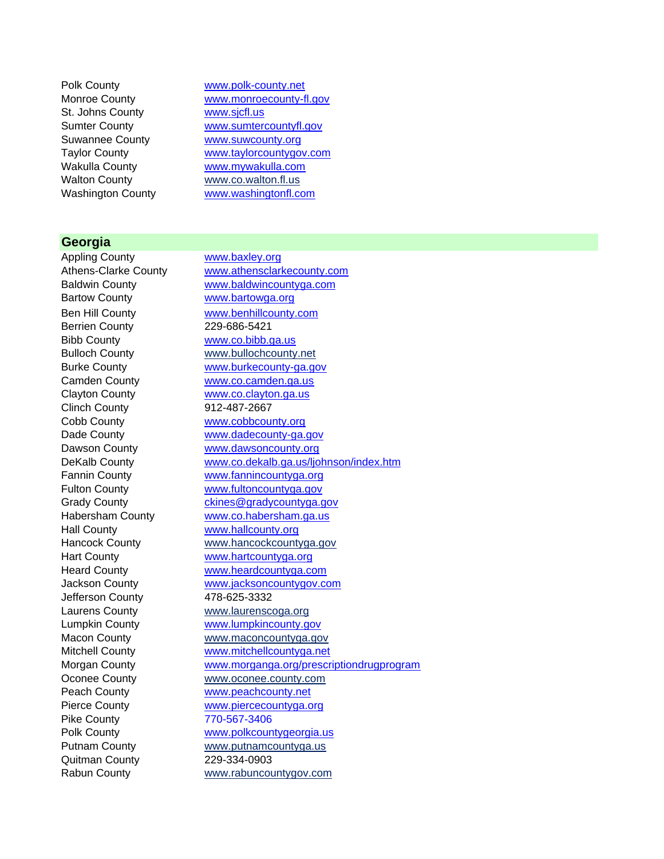Polk County www.polk-county.net St. Johns County **www.sicfl.us** Walton County **WALTS** www.co.walton.fl.us Washington County **www.washingtonfl.com** 

Monroe County **www.monroecounty-fl.gov** Sumter County Www.sumtercountyfl.gov Suwannee County **www.suwcounty.org** Taylor County www.taylorcountygov.com Wakulla County **www.mywakulla.com** 

# **Georgia**

Appling County www.baxley.org Bartow County **www.bartowga.org** Berrien County 229-686-5421 Bibb County www.co.bibb.ga.us Clayton County WWW.co.clayton.ga.us Clinch County 912-487-2667 Cobb County www.cobbcounty.org Hall County www.hallcounty.org Jefferson County 478-625-3332 Laurens County www.laurenscoga.org Peach County Www.peachcounty.net Pike County **770-567-3406** Quitman County 229-334-0903 Rabun County www.rabuncountygov.com

Athens-Clarke County www.athensclarkecounty.com Baldwin County **www.baldwincountyga.com** Ben Hill County www.benhillcounty.com Bulloch County www.bullochcounty.net Burke County **www.burkecounty-ga.gov** Camden County www.co.camden.ga.us Dade County **WWW.dadecounty-ga.gov** Dawson County **www.dawsoncounty.org** DeKalb County www.co.dekalb.ga.us/ljohnson/index.htm Fannin County **www.fannincountyga.org** Fulton County **www.fultoncountyga.gov** Grady County ckines@gradycountyga.gov Habersham County www.co.habersham.ga.us Hancock County www.hancockcountyga.gov Hart County www.hartcountyga.org Heard County www.heardcountyga.com Jackson County www.jacksoncountygov.com Lumpkin County www.lumpkincounty.gov Macon County **WWW.maconcountyga.gov** Mitchell County www.mitchellcountyga.net Morgan County www.morganga.org/prescriptiondrugprogram Oconee County www.oconee.county.com Pierce County **www.piercecountyga.org** Polk County **www.polkcountygeorgia.us** Putnam County **www.putnamcountyga.us**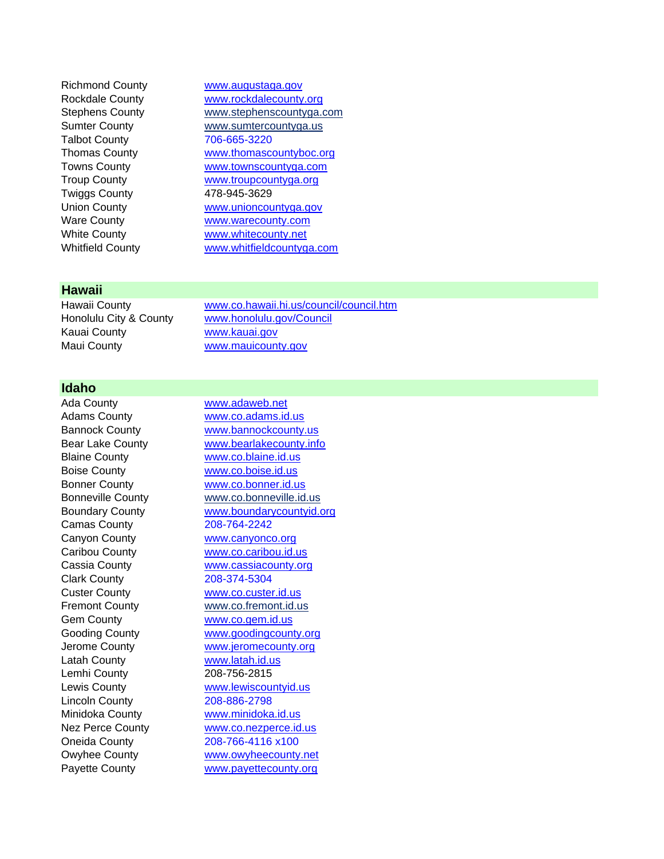Talbot County 706-665-3220 Twiggs County 478-945-3629

Richmond County www.augustaga.gov Rockdale County www.rockdalecounty.org Stephens County www.stephenscountyga.com Sumter County **WWW.sumtercountyga.us** Thomas County www.thomascountyboc.org Towns County **www.townscountyga.com** Troup County www.troupcountyga.org Union County **www.unioncountyga.gov** Ware County **WARE WARE WWW.warecounty.com** White County **www.whitecounty.net** Whitfield County www.whitfieldcountyga.com

#### **Hawaii**

Kauai County www.kauai.gov Maui County **WWW.mauicounty.gov** 

Hawaii County www.co.hawaii.hi.us/council/council.htm Honolulu City & County www.honolulu.gov/Council

# **Idaho**

Ada County **WWW.adaweb.net** Camas County 208-764-2242 Clark County 208-374-5304 Gem County **www.co.gem.id.us** Latah County **WWW.latah.id.us** Lemhi County 208-756-2815 Lincoln County 208-886-2798

Adams County **WWW.CO.adams.id.us** Bannock County **www.bannockcounty.us** Bear Lake County **www.bearlakecounty.info** Blaine County www.co.blaine.id.us Boise County www.co.boise.id.us Bonner County www.co.bonner.id.us Bonneville County www.co.bonneville.id.us Boundary County **www.boundarycountyid.org** Canyon County www.canyonco.org Caribou County www.co.caribou.id.us Cassia County www.cassiacounty.org Custer County www.co.custer.id.us Fremont County www.co.fremont.id.us Gooding County www.goodingcounty.org Jerome County www.jeromecounty.org Lewis County **WWW.lewiscountyid.us** Minidoka County www.minidoka.id.us Nez Perce County www.co.nezperce.id.us Oneida County 208-766-4116 x100 Owyhee County www.owyheecounty.net Payette County **www.payettecounty.org**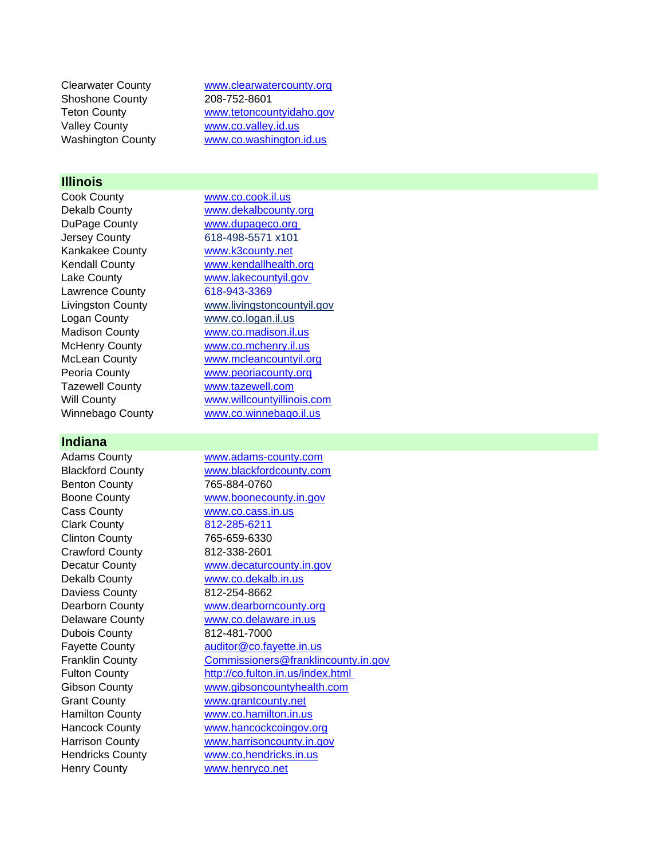Shoshone County 208-752-8601 Valley County www.co.valley.id.us

Clearwater County www.clearwatercounty.org Teton County **WWW.tetoncountyidaho.gov** Washington County **www.co.washington.id.us** 

# **Illinois**

Kankakee County www.k3county.net Lawrence County 618-943-3369 Logan County www.co.logan.il.us Tazewell County www.tazewell.com

# **Indiana**

Benton County 765-884-0760 Clark County 812-285-6211 Clinton County 765-659-6330 Crawford County 812-338-2601 Daviess County 812-254-8662 Dubois County 812-481-7000 Henry County **WWW.henryco.net** 

Cook County www.co.cook.il.us Dekalb County **www.dekalbcounty.org** DuPage County **www.dupageco.org** Jersey County 618-498-5571 x101 Kendall County www.kendallhealth.org Lake County www.lakecountyil.gov Livingston County www.livingstoncountyil.gov Madison County **www.co.madison.il.us** McHenry County **www.co.mchenry.il.us** McLean County **www.mcleancountyil.org** Peoria County **www.peoriacounty.org** Will County **Will County** www.willcountyillinois.com Winnebago County **www.co.winnebago.il.us** 

Adams County www.adams-county.com Blackford County www.blackfordcounty.com Boone County **www.boonecounty.in.gov** Cass County www.co.cass.in.us Decatur County www.decaturcounty.in.gov Dekalb County www.co.dekalb.in.us Dearborn County **www.dearborncounty.org** Delaware County **www.co.delaware.in.us** Fayette County auditor@co.fayette.in.us Franklin County **Commissioners@franklincounty.in.gov** Fulton County http://co.fulton.in.us/index.html Gibson County www.gibsoncountyhealth.com Grant County www.grantcounty.net Hamilton County www.co.hamilton.in.us Hancock County www.hancockcoingov.org Harrison County www.harrisoncounty.in.gov Hendricks County www.co,hendricks.in.us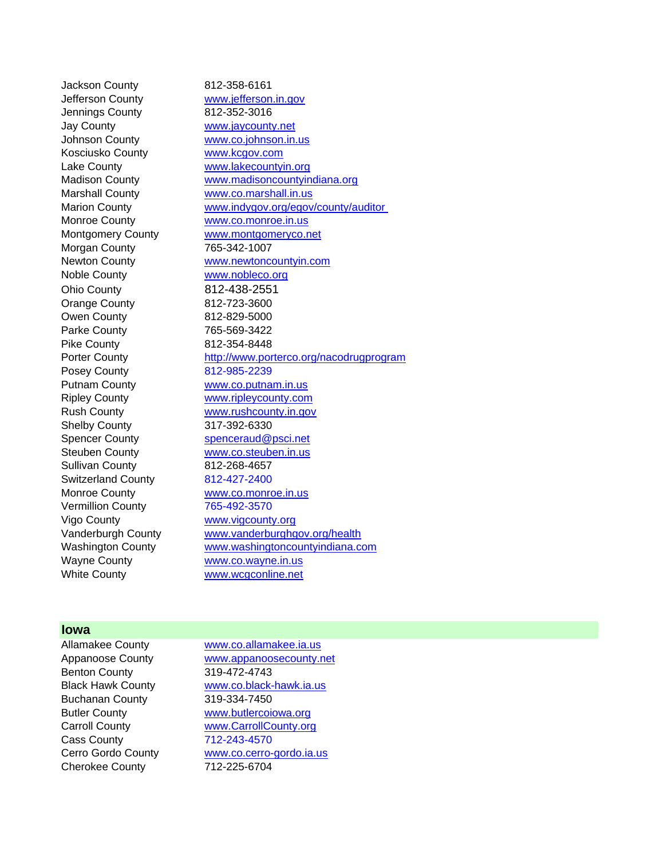Jackson County 812-358-6161 Jefferson County www.jefferson.in.gov Jennings County 812-352-3016 Jay County www.jaycounty.net Johnson County www.co.johnson.in.us Kosciusko County www.kcgov.com Lake County **WWW.lakecountyin.org** Marshall County www.co.marshall.in.us Monroe County **www.co.monroe.in.us** Morgan County 765-342-1007 Noble County www.nobleco.org Ohio County 812-438-2551 Orange County 812-723-3600 Owen County 812-829-5000 Parke County 765-569-3422 Pike County 812-354-8448 Posey County 812-985-2239 Putnam County www.co.putnam.in.us Ripley County www.ripleycounty.com Shelby County 317-392-6330 Spencer County spenceraud@psci.net Steuben County www.co.steuben.in.us Sullivan County 812-268-4657 Switzerland County 812-427-2400 Monroe County **www.co.monroe.in.us** Vermillion County 765-492-3570 Vigo County www.vigcounty.org Wayne County **www.co.wayne.in.us** White County **www.wcgconline.net** 

Madison County www.madisoncountyindiana.org Marion County www.indygov.org/egov/county/auditor Montgomery County www.montgomeryco.net Newton County www.newtoncountyin.com Porter County http://www.porterco.org/nacodrugprogram Rush County www.rushcounty.in.gov Vanderburgh County www.vanderburghgov.org/health Washington County www.washingtoncountyindiana.com

# **Iowa**

Benton County 319-472-4743 Buchanan County 319-334-7450 Cass County 712-243-4570 Cherokee County 712-225-6704

Allamakee County **www.co.allamakee.ia.us** Appanoose County www.appanoosecounty.net Black Hawk County www.co.black-hawk.ia.us Butler County www.butlercoiowa.org Carroll County www.CarrollCounty.org Cerro Gordo County www.co.cerro-gordo.ia.us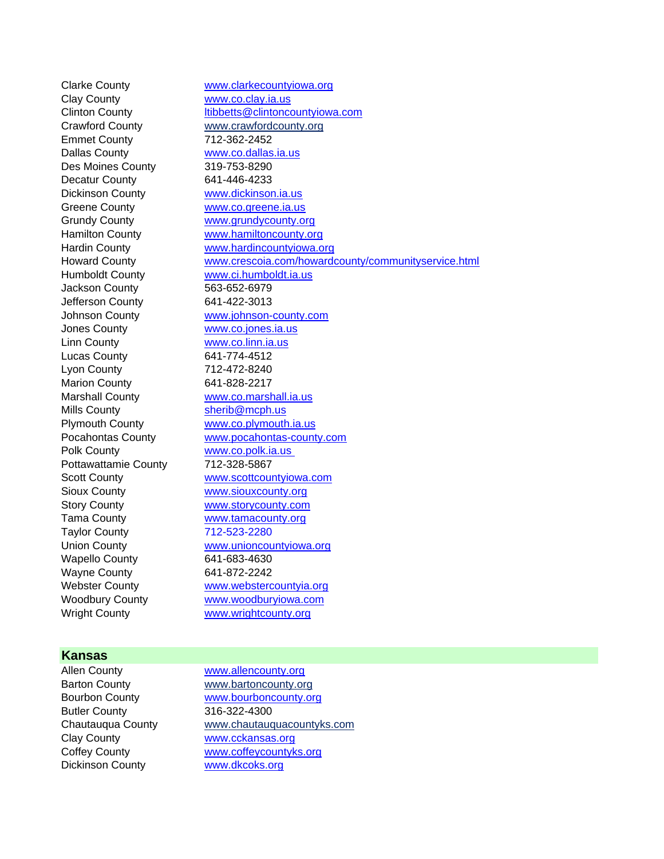Clarke County www.clarkecountyiowa.org Clay County www.co.clay.ia.us Emmet County 712-362-2452 Dallas County **www.co.dallas.ia.us** Des Moines County 319-753-8290 Decatur County 641-446-4233 Dickinson County www.dickinson.ia.us Greene County **www.co.greene.ia.us** Grundy County www.grundycounty.org Humboldt County www.ci.humboldt.ia.us Jackson County 563-652-6979 Jefferson County 641-422-3013 Jones County www.co.jones.ia.us Linn County www.co.linn.ia.us Lucas County 641-774-4512 Lyon County 712-472-8240 Marion County 641-828-2217 Marshall County www.co.marshall.ia.us Mills County Sherib@mcph.us Plymouth County www.co.plymouth.ia.us Polk County www.co.polk.ia.us Pottawattamie County 712-328-5867 Sioux County **WWW.Siouxcounty.org** Story County **www.storycounty.com** Tama County **WWW.tamacounty.org** Taylor County 712-523-2280 Wapello County 641-683-4630 Wayne County 641-872-2242 Wright County **www.wrightcounty.org** 

# **Kansas**

Butler County 316-322-4300 Clay County www.cckansas.org Dickinson County **www.dkcoks.org** 

Allen County www.allencounty.org Barton County www.bartoncounty.org Bourbon County www.bourboncounty.org Chautauqua County www.chautauquacountyks.com Coffey County **WWW.coffeycountyks.org** 

Clinton County ltibbetts@clintoncountyiowa.com Crawford County www.crawfordcounty.org Hamilton County www.hamiltoncounty.org Hardin County **www.hardincountyiowa.org** Howard County www.crescoia.com/howardcounty/communityservice.html Johnson County www.johnson-county.com Pocahontas County www.pocahontas-county.com Scott County **www.scottcountyiowa.com** Union County www.unioncountyiowa.org Webster County **www.webstercountyia.org** Woodbury County www.woodburyiowa.com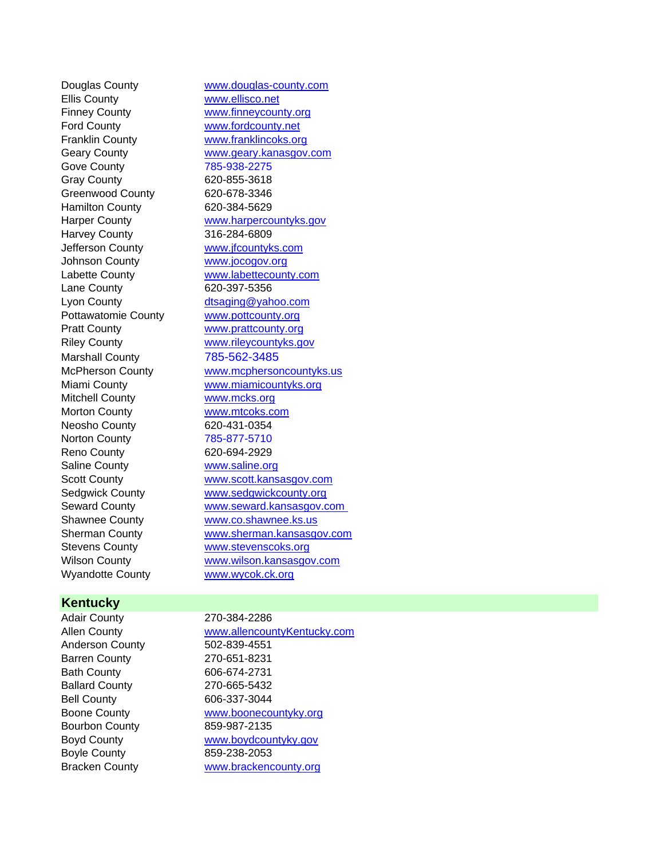Douglas County www.douglas-county.com Ellis County www.ellisco.net Finney County www.finneycounty.org Ford County www.fordcounty.net Franklin County www.franklincoks.org Geary County www.geary.kanasgov.com Gove County 785-938-2275 Gray County 620-855-3618 Greenwood County 620-678-3346 Hamilton County 620-384-5629 Harper County www.harpercountyks.gov Harvey County 316-284-6809 Jefferson County www.jfcountyks.com Johnson County **www.jocogov.org** Labette County www.labettecounty.com Lane County 620-397-5356 Lyon County dtsaging@yahoo.com Pottawatomie County www.pottcounty.org Pratt County **www.prattcounty.org** Riley County **WWW.rileycountyks.gov** Marshall County 785-562-3485 McPherson County www.mcphersoncountyks.us Mitchell County **www.mcks.org** Neosho County 620-431-0354 Norton County 785-877-5710 Reno County 620-694-2929 Saline County WWW.saline.org

# Miami County www.miamicountyks.org Morton County **www.mtcoks.com** Scott County **www.scott.kansasgov.com** Sedgwick County **www.sedgwickcounty.org** Seward County www.seward.kansasgov.com Shawnee County www.co.shawnee.ks.us Sherman County www.sherman.kansasgov.com Stevens County **www.stevenscoks.org** Wilson County **WWW.wilson.kansasgov.com** Wyandotte County **www.wycok.ck.org**

# **Kentucky**

Anderson County 502-839-4551 Barren County 270-651-8231 Bath County 606-674-2731 Ballard County 270-665-5432 Bell County 606-337-3044 Bourbon County 859-987-2135 Boyle County 859-238-2053

Adair County 270-384-2286 Allen County www.allencountyKentucky.com Boone County www.boonecountyky.org Boyd County **www.boydcountyky.gov** Bracken County www.brackencounty.org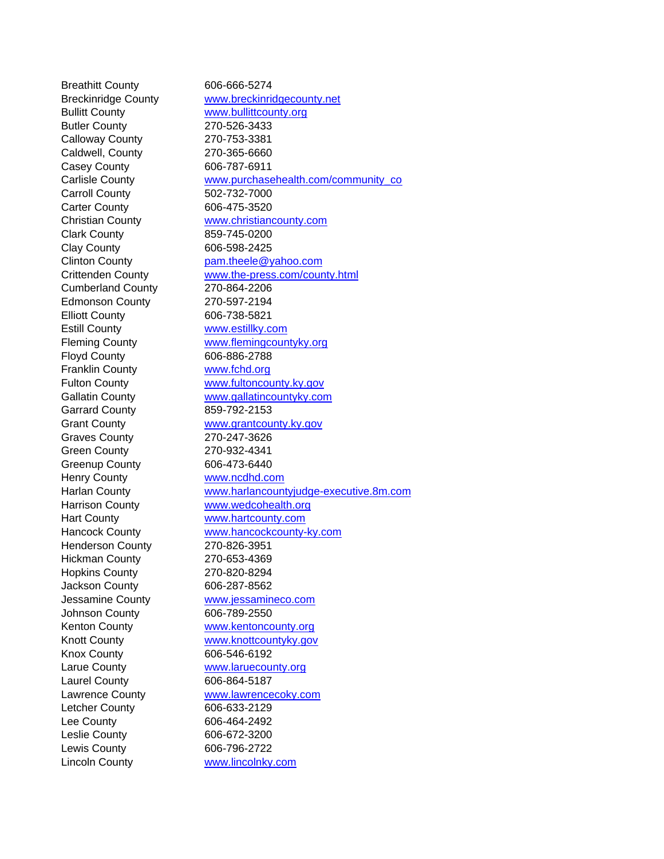Breathitt County 606-666-5274 Bullitt County **www.bullittcounty.org** Butler County 270-526-3433 Calloway County 270-753-3381 Caldwell, County 270-365-6660 Casey County 606-787-6911 Carroll County 502-732-7000 Carter County 606-475-3520 Clark County 859-745-0200 Clay County 606-598-2425 Cumberland County 270-864-2206 Edmonson County 270-597-2194 Elliott County 606-738-5821 Estill County www.estillky.com Floyd County 606-886-2788 Franklin County www.fchd.org Garrard County 859-792-2153 Graves County 270-247-3626 Green County 270-932-4341 Greenup County 606-473-6440 Henry County www.ncdhd.com Hart County www.hartcounty.com Henderson County 270-826-3951 Hickman County 270-653-4369 Hopkins County 270-820-8294 Jackson County 606-287-8562 Johnson County 606-789-2550 Knox County 606-546-6192 Larue County **WWW.laruecounty.org** Laurel County 606-864-5187 Letcher County 606-633-2129 Lee County 606-464-2492 Leslie County 606-672-3200 Lewis County 606-796-2722 Lincoln County www.lincolnky.com

Breckinridge County www.breckinridgecounty.net Carlisle County www.purchasehealth.com/community\_co Christian County www.christiancounty.com Clinton County pam.theele@yahoo.com Crittenden County www.the-press.com/county.html Fleming County **www.flemingcountyky.org** Fulton County www.fultoncounty.ky.gov Gallatin County www.gallatincountyky.com Grant County www.grantcounty.ky.gov Harlan County www.harlancountyjudge-executive.8m.com Harrison County www.wedcohealth.org Hancock County www.hancockcounty-ky.com Jessamine County www.jessamineco.com Kenton County www.kentoncounty.org Knott County www.knottcountyky.gov Lawrence County www.lawrencecoky.com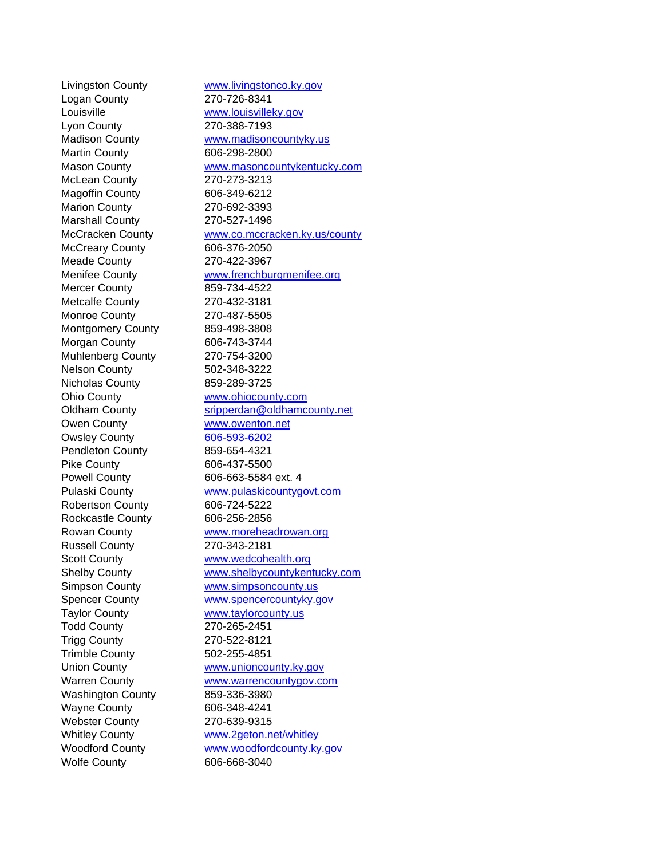Livingston County www.livingstonco.ky.gov Logan County 270-726-8341 Louisville www.louisvilleky.gov Lyon County 270-388-7193 Martin County 606-298-2800 McLean County 270-273-3213 Magoffin County 606-349-6212 Marion County 270-692-3393 Marshall County 270-527-1496 McCreary County 606-376-2050 Meade County 270-422-3967 Mercer County 859-734-4522 Metcalfe County 270-432-3181 Monroe County 270-487-5505 Montgomery County 859-498-3808 Morgan County 606-743-3744 Muhlenberg County 270-754-3200 Nelson County 502-348-3222 Nicholas County 859-289-3725 Ohio County www.ohiocounty.com Owen County www.owenton.net Owsley County 606-593-6202 Pendleton County 859-654-4321 Pike County 606-437-5500 Powell County 606-663-5584 ext. 4 Robertson County 606-724-5222 Rockcastle County 606-256-2856 Russell County 270-343-2181 Taylor County www.taylorcounty.us Todd County 270-265-2451 Trigg County 270-522-8121 Trimble County 502-255-4851 Washington County 859-336-3980 Wayne County 606-348-4241 Webster County 270-639-9315 Wolfe County 606-668-3040

Madison County **www.madisoncountyky.us** Mason County www.masoncountykentucky.com McCracken County www.co.mccracken.ky.us/county Menifee County www.frenchburgmenifee.org Oldham County sripperdan@oldhamcounty.net Pulaski County www.pulaskicountygovt.com Rowan County www.moreheadrowan.org Scott County **www.wedcohealth.org** Shelby County www.shelbycountykentucky.com Simpson County **www.simpsoncounty.us** Spencer County www.spencercountyky.gov Union County www.unioncounty.ky.gov Warren County **www.warrencountygov.com** Whitley County **www.2geton.net/whitley** Woodford County www.woodfordcounty.ky.gov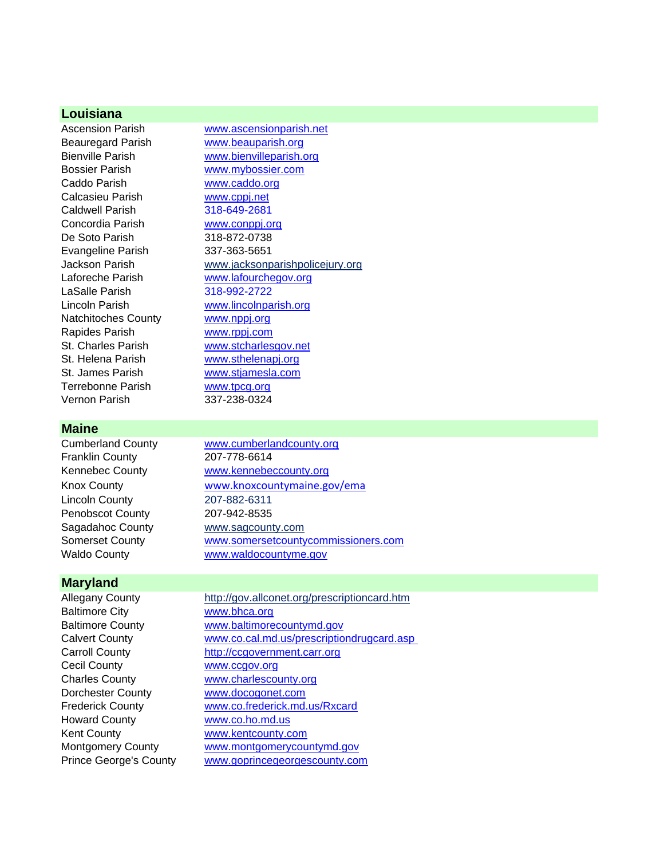# **Louisiana**

Beauregard Parish www.beauparish.org Bossier Parish www.mybossier.com Caddo Parish www.caddo.org Calcasieu Parish www.cppj.net Caldwell Parish 318-649-2681 Concordia Parish www.conppj.org De Soto Parish 318-872-0738 Evangeline Parish 337-363-5651 LaSalle Parish 318-992-2722 Natchitoches County **www.nppj.org** Rapides Parish **www.rppj.com** St. Helena Parish www.sthelenapj.org St. James Parish www.stjamesla.com Terrebonne Parish www.tpcg.org Vernon Parish 337-238-0324

Ascension Parish www.ascensionparish.net Bienville Parish www.bienvilleparish.org Jackson Parish www.jacksonparishpolicejury.org Laforeche Parish www.lafourchegov.org Lincoln Parish www.lincolnparish.org St. Charles Parish www.stcharlesgov.net

#### **Maine**

Cumberland County www.cumberlandcounty.org Franklin County 207-778-6614 Kennebec County **www.kennebeccounty.org** Knox County www.knoxcountymaine.gov/ema Lincoln County 207-882-6311 Penobscot County 207-942-8535 Sagadahoc County www.sagcounty.com Somerset County www.somersetcountycommissioners.com Waldo County **www.waldocountyme.gov** 

# **Maryland**

| Allegany County               | http://gov.allconet.org/prescriptioncard.htm |
|-------------------------------|----------------------------------------------|
| <b>Baltimore City</b>         | www.bhca.org                                 |
| <b>Baltimore County</b>       | www.baltimorecountymd.gov                    |
| <b>Calvert County</b>         | www.co.cal.md.us/prescriptiondrugcard.asp    |
| <b>Carroll County</b>         | http://ccgovernment.carr.org                 |
| <b>Cecil County</b>           | www.ccgov.org                                |
| <b>Charles County</b>         | www.charlescounty.org                        |
| <b>Dorchester County</b>      | www.docogonet.com                            |
| <b>Frederick County</b>       | www.co.frederick.md.us/Rxcard                |
| <b>Howard County</b>          | www.co.ho.md.us                              |
| Kent County                   | www.kentcounty.com                           |
| <b>Montgomery County</b>      | www.montgomerycountymd.gov                   |
| <b>Prince George's County</b> | www.goprincegeorgescounty.com                |
|                               |                                              |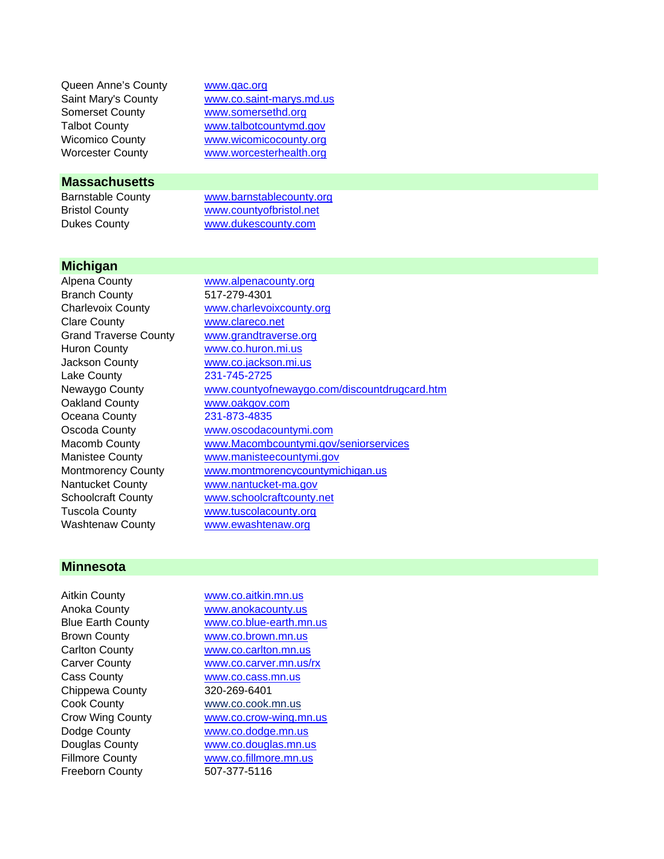| Queen Anne's County     |
|-------------------------|
| Saint Mary's County     |
| <b>Somerset County</b>  |
| Talbot County           |
| <b>Wicomico County</b>  |
| <b>Worcester County</b> |

www.qac.org www.co.saint-marys.md.us www.somersethd.org www.talbotcountymd.gov www.wicomicocounty.org www.worcesterhealth.org

# **Massachusetts**

Barnstable County www.barnstablecounty.org Bristol County www.countyofbristol.net Dukes County www.dukescounty.com

# **Michigan**

Branch County 517-279-4301 Clare County **www.clareco.net** Grand Traverse County www.grandtraverse.org Huron County www.co.huron.mi.us Jackson County www.co.jackson.mi.us Lake County 231-745-2725 Oakland County www.oakgov.com Oceana County 231-873-4835 Nantucket County www.nantucket-ma.gov Tuscola County **www.tuscolacounty.org** Washtenaw County **www.ewashtenaw.org** 

Alpena County Www.alpenacounty.org Charlevoix County www.charlevoixcounty.org Newaygo County www.countyofnewaygo.com/discountdrugcard.htm Oscoda County www.oscodacountymi.com Macomb County www.Macombcountymi.gov/seniorservices Manistee County www.manisteecountymi.gov Montmorency County www.montmorencycountymichigan.us Schoolcraft County www.schoolcraftcounty.net

#### **Minnesota**

Aitkin County www.co.aitkin.mn.us Chippewa County 320-269-6401 Freeborn County 507-377-5116

Anoka County www.anokacounty.us Blue Earth County www.co.blue-earth.mn.us Brown County www.co.brown.mn.us Carlton County www.co.carlton.mn.us Carver County www.co.carver.mn.us/rx Cass County www.co.cass.mn.us Cook County www.co.cook.mn.us Crow Wing County www.co.crow-wing.mn.us Dodge County WWW.co.dodge.mn.us Douglas County www.co.douglas.mn.us Fillmore County **www.co.fillmore.mn.us**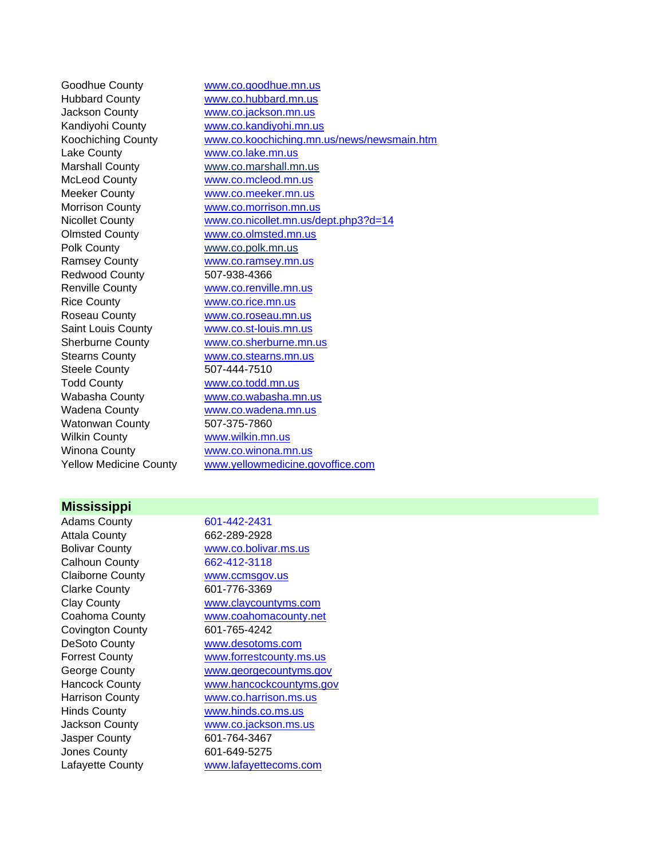Goodhue County www.co.goodhue.mn.us Hubbard County www.co.hubbard.mn.us Jackson County www.co.jackson.mn.us Lake County **WWW.CO.lake.mn.us** Marshall County www.co.marshall.mn.us McLeod County **www.co.mcleod.mn.us** Meeker County www.co.meeker.mn.us Morrison County www.co.morrison.mn.us Olmsted County www.co.olmsted.mn.us Polk County www.co.polk.mn.us Ramsey County www.co.ramsey.mn.us Redwood County 507-938-4366 Renville County **WWW.CO.renville.mn.us** Rice County **www.co.rice.mn.us** Roseau County www.co.roseau.mn.us Saint Louis County www.co.st-louis.mn.us Stearns County WWW.co.stearns.mn.us Steele County 507-444-7510 Todd County www.co.todd.mn.us Wabasha County www.co.wabasha.mn.us Wadena County **www.co.wadena.mn.us** Watonwan County 507-375-7860 Wilkin County **www.wilkin.mn.us** Winona County **www.co.winona.mn.us** 

Kandiyohi County www.co.kandiyohi.mn.us Koochiching County www.co.koochiching.mn.us/news/newsmain.htm Nicollet County www.co.nicollet.mn.us/dept.php3?d=14 Sherburne County **www.co.sherburne.mn.us** Yellow Medicine County www.yellowmedicine.govoffice.com

# **Mississippi**

Adams County 601-442-2431 Attala County 662-289-2928 Calhoun County 662-412-3118 Claiborne County www.ccmsgov.us Clarke County 601-776-3369 Covington County 601-765-4242 Jasper County 601-764-3467 Jones County 601-649-5275

Bolivar County **www.co.bolivar.ms.us** Clay County **WWW.claycountyms.com** Coahoma County www.coahomacounty.net DeSoto County www.desotoms.com Forrest County **www.forrestcounty.ms.us** George County **www.georgecountyms.gov** Hancock County www.hancockcountyms.gov Harrison County **www.co.harrison.ms.us** Hinds County www.hinds.co.ms.us Jackson County www.co.jackson.ms.us Lafayette County www.lafayettecoms.com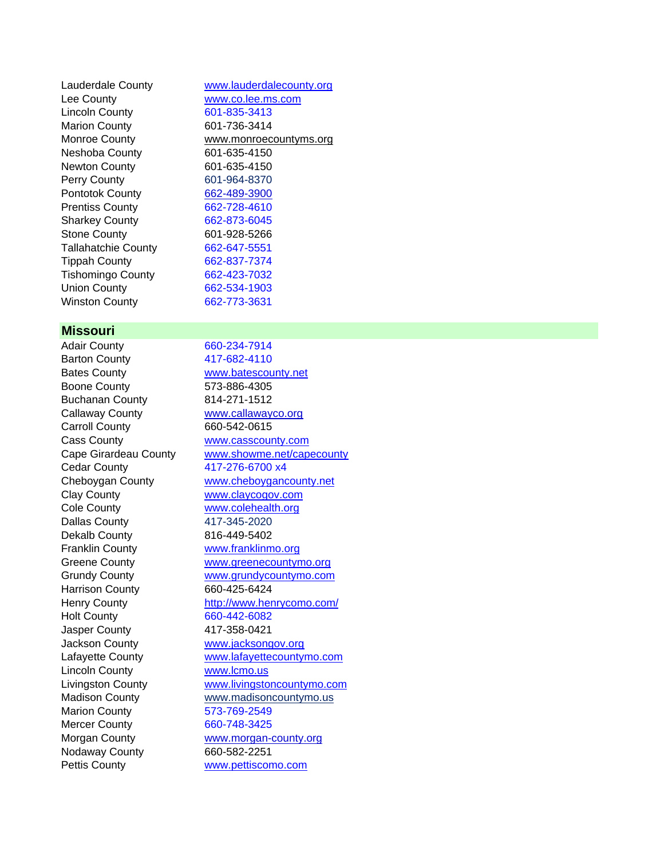| Lauderdale County          | www.lauderdalecounty.org |
|----------------------------|--------------------------|
| Lee County                 | www.co.lee.ms.com        |
| Lincoln County             | 601-835-3413             |
| <b>Marion County</b>       | 601-736-3414             |
| <b>Monroe County</b>       | www.monroecountyms.org   |
| Neshoba County             | 601-635-4150             |
| <b>Newton County</b>       | 601-635-4150             |
| Perry County               | 601-964-8370             |
| <b>Pontotok County</b>     | 662-489-3900             |
| <b>Prentiss County</b>     | 662-728-4610             |
| <b>Sharkey County</b>      | 662-873-6045             |
| <b>Stone County</b>        | 601-928-5266             |
| <b>Tallahatchie County</b> | 662-647-5551             |
| <b>Tippah County</b>       | 662-837-7374             |
| <b>Tishomingo County</b>   | 662-423-7032             |
| <b>Union County</b>        | 662-534-1903             |
| Winston County             | 662-773-3631             |
|                            |                          |

# **Missouri**

Adair County 660-234-7914 Barton County 417-682-4110 Bates County www.batescounty.net Boone County 573-886-4305 Buchanan County 814-271-1512 Callaway County **WWW.callawayco.org** Carroll County 660-542-0615 Cass County www.casscounty.com Cedar County 417-276-6700 x4 Clay County www.claycogov.com Cole County www.colehealth.org Dallas County 417-345-2020 Dekalb County 816-449-5402 Franklin County **www.franklinmo.org** Harrison County 660-425-6424 Holt County 660-442-6082 Jasper County 417-358-0421 Jackson County www.jacksongov.org Lincoln County www.lcmo.us Marion County **573-769-2549** Mercer County 660-748-3425 Nodaway County 660-582-2251 Pettis County www.pettiscomo.com

Cape Girardeau County www.showme.net/capecounty Cheboygan County www.cheboygancounty.net Greene County **www.greenecountymo.org** Grundy County www.grundycountymo.com Henry County **http://www.henrycomo.com/** Lafayette County **www.lafayettecountymo.com** Livingston County www.livingstoncountymo.com Madison County **www.madisoncountymo.us** Morgan County www.morgan-county.org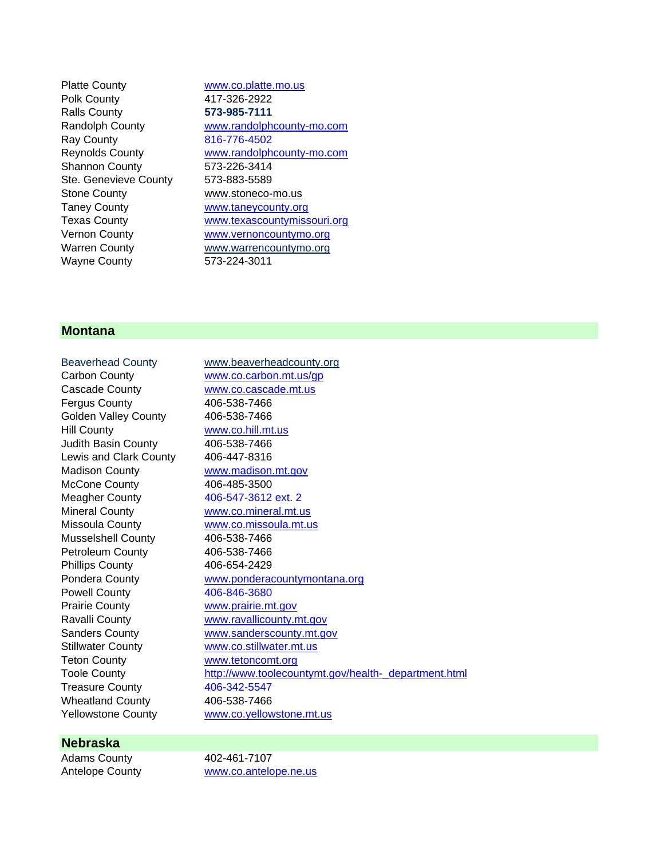Platte County www.co.platte.mo.us Polk County 417-326-2922 Ralls County **573-985-7111** Ray County 816-776-4502 Shannon County 573-226-3414 Ste. Genevieve County 573-883-5589 Stone County **WWW.stoneco-mo.us** Taney County **www.taneycounty.org** Wayne County 573-224-3011

Randolph County www.randolphcounty-mo.com Reynolds County **www.randolphcounty-mo.com** Texas County www.texascountymissouri.org Vernon County www.vernoncountymo.org Warren County **www.warrencountymo.org** 

# **Montana**

Fergus County 406-538-7466 Golden Valley County 406-538-7466 Hill County www.co.hill.mt.us Judith Basin County 406-538-7466 Lewis and Clark County 406-447-8316 McCone County 406-485-3500 Meagher County 406-547-3612 ext. 2 Musselshell County 406-538-7466 Petroleum County 406-538-7466 Phillips County 406-654-2429 Powell County **406-846-3680** Prairie County www.prairie.mt.gov Teton County **www.tetoncomt.org** Treasure County **406-342-5547** Wheatland County 406-538-7466

Beaverhead County www.beaverheadcounty.org Carbon County WWW.co.carbon.mt.us/gp Cascade County www.co.cascade.mt.us Madison County **www.madison.mt.gov** Mineral County www.co.mineral.mt.us Missoula County www.co.missoula.mt.us Pondera County **www.ponderacountymontana.org** Ravalli County **www.ravallicounty.mt.gov** Sanders County www.sanderscounty.mt.gov Stillwater County www.co.stillwater.mt.us Toole County http://www.toolecountymt.gov/health-\_department.html Yellowstone County www.co.yellowstone.mt.us

# **Nebraska**

Adams County 402-461-7107

Antelope County www.co.antelope.ne.us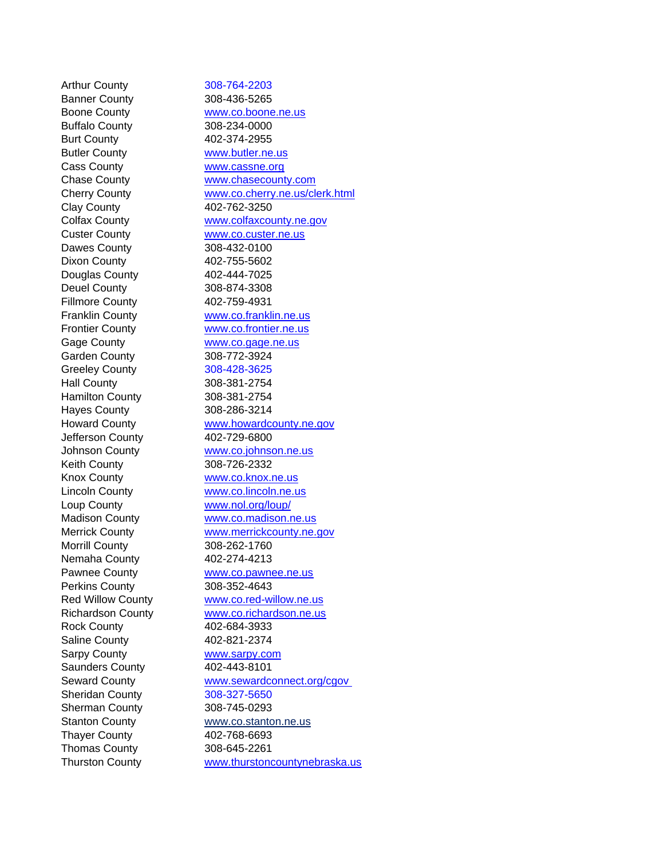Arthur County 308-764-2203 Banner County 308-436-5265 Buffalo County 308-234-0000 Burt County 402-374-2955 Butler County **www.butler.ne.us** Cass County www.cassne.org Clay County 402-762-3250 Dawes County 308-432-0100 Dixon County 402-755-5602 Douglas County 402-444-7025 Deuel County 308-874-3308 Fillmore County 402-759-4931 Garden County 308-772-3924 Greeley County 308-428-3625 Hall County 308-381-2754 Hamilton County 308-381-2754 Hayes County 308-286-3214 Jefferson County 402-729-6800 Keith County 308-726-2332 Loup County Www.nol.org/loup/ Morrill County 308-262-1760 Nemaha County 402-274-4213 Perkins County 308-352-4643 Rock County 402-684-3933 Saline County **402-821-2374** Sarpy County WWW.sarpy.com Saunders County 402-443-8101 Sheridan County 308-327-5650 Sherman County 308-745-0293 Thayer County 402-768-6693 Thomas County 308-645-2261

Boone County **www.co.boone.ne.us** Chase County www.chasecounty.com Cherry County www.co.cherry.ne.us/clerk.html Colfax County www.colfaxcounty.ne.gov Custer County www.co.custer.ne.us Franklin County www.co.franklin.ne.us Frontier County www.co.frontier.ne.us Gage County WWW.co.gage.ne.us Howard County www.howardcounty.ne.gov Johnson County www.co.johnson.ne.us Knox County www.co.knox.ne.us Lincoln County www.co.lincoln.ne.us Madison County www.co.madison.ne.us Merrick County **WWW.merrickcounty.ne.gov** Pawnee County **www.co.pawnee.ne.us** Red Willow County www.co.red-willow.ne.us Richardson County www.co.richardson.ne.us Seward County **WWW.Sewardconnect.org/cgov** Stanton County **WWW.CO.stanton.ne.us** Thurston County www.thurstoncountynebraska.us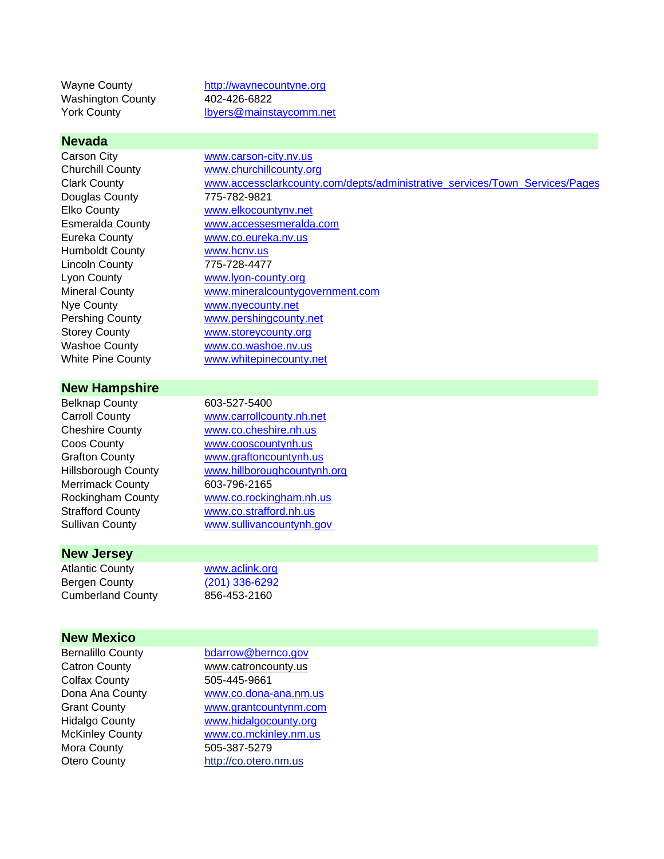Washington County 402-426-6822

Wayne County **http://waynecountyne.org** York County **lbyers@mainstaycomm.net** 

# **Nevada**

Carson City www.carson-city.nv.us Churchill County www.churchillcounty.org Clark County www.accessclarkcounty.com/depts/administrative\_services/Town\_Services/Pages Douglas County 775-782-9821 Elko County www.elkocountynv.net Esmeralda County www.accessesmeralda.com Eureka County www.co.eureka.nv.us Humboldt County **www.hcnv.us** Lincoln County 775-728-4477 Lyon County **www.lyon-county.org** Mineral County **www.mineralcountygovernment.com** Nye County www.nyecounty.net Pershing County **www.pershingcounty.net** Storey County WWW.storeycounty.org Washoe County **www.co.washoe.nv.us** White Pine County **www.whitepinecounty.net** 

# **New Hampshire**

| <b>Belknap County</b>      | 603-527-5400                |
|----------------------------|-----------------------------|
| <b>Carroll County</b>      | www.carrollcounty.nh.net    |
| <b>Cheshire County</b>     | www.co.cheshire.nh.us       |
| Coos County                | www.cooscountynh.us         |
| <b>Grafton County</b>      | www.graftoncountynh.us      |
| <b>Hillsborough County</b> | www.hillboroughcountynh.org |
| Merrimack County           | 603-796-2165                |
| <b>Rockingham County</b>   | www.co.rockingham.nh.us     |
| <b>Strafford County</b>    | www.co.strafford.nh.us      |
| <b>Sullivan County</b>     | www.sullivancountynh.gov    |
|                            |                             |

#### **New Jersey**

| <b>Atlantic County</b>   | www.aclink.org   |
|--------------------------|------------------|
| Bergen County            | $(201)$ 336-6292 |
| <b>Cumberland County</b> | 856-453-2160     |

#### **New Mexico**

| <b>Bernalillo County</b> | bdarrow@bernco.gov    |
|--------------------------|-----------------------|
| <b>Catron County</b>     | www.catroncounty.us   |
| <b>Colfax County</b>     | 505-445-9661          |
| Dona Ana County          | www.co.dona-ana.nm.us |
| <b>Grant County</b>      | www.grantcountynm.com |
| <b>Hidalgo County</b>    | www.hidalgocounty.org |
| <b>McKinley County</b>   | www.co.mckinley.nm.us |
| Mora County              | 505-387-5279          |
| <b>Otero County</b>      | http://co.otero.nm.us |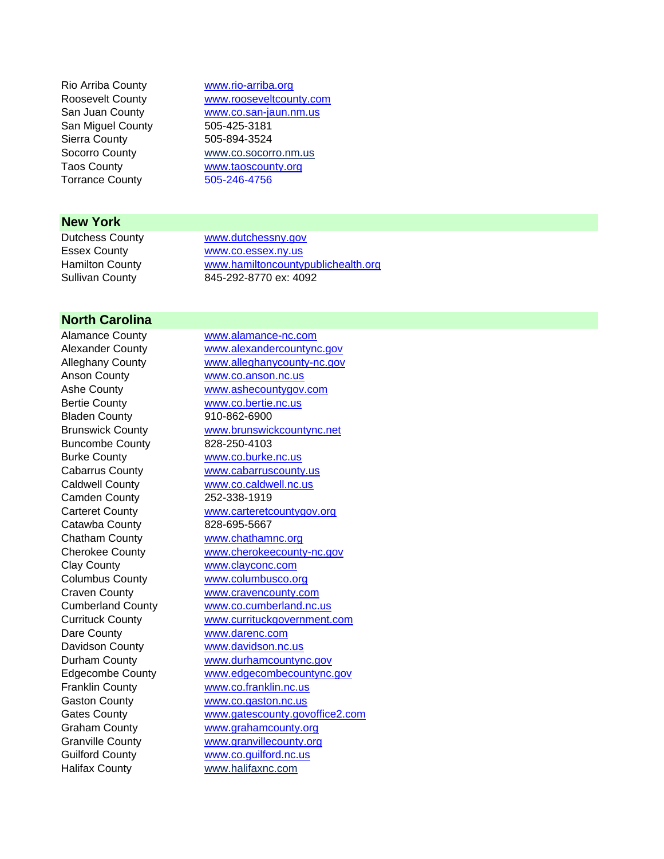Rio Arriba County www.rio-arriba.org San Miguel County 505-425-3181 Sierra County 505-894-3524 Torrance County 505-246-4756

Roosevelt County www.rooseveltcounty.com San Juan County www.co.san-jaun.nm.us Socorro County **WWW.CO.SOCOTTO.nm.us** Taos County Www.taoscounty.org

# **New York**

Dutchess County www.dutchessny.gov Essex County WWW.co.essex.ny.us Hamilton County **www.hamiltoncountypublichealth.org** Sullivan County 845-292-8770 ex: 4092

#### **North Carolina**

Bertie County **www.co.bertie.nc.us** Bladen County 910-862-6900 Buncombe County 828-250-4103 Burke County www.co.burke.nc.us Camden County 252-338-1919 Catawba County 828-695-5667 Clay County www.clayconc.com Dare County **WWW.darenc.com** Halifax County **www.halifaxnc.com** 

Alamance County www.alamance-nc.com Alexander County www.alexandercountync.gov Alleghany County www.alleghanycounty-nc.gov Anson County **www.co.anson.nc.us** Ashe County www.ashecountygov.com Brunswick County www.brunswickcountync.net Cabarrus County **www.cabarruscounty.us** Caldwell County www.co.caldwell.nc.us Carteret County www.carteretcountygov.org Chatham County www.chathamnc.org Cherokee County www.cherokeecounty-nc.gov Columbus County www.columbusco.org Craven County www.cravencounty.com Cumberland County **www.co.cumberland.nc.us** Currituck County www.currituckgovernment.com Davidson County www.davidson.nc.us Durham County www.durhamcountync.gov Edgecombe County www.edgecombecountync.gov Franklin County www.co.franklin.nc.us Gaston County www.co.gaston.nc.us Gates County www.gatescounty.govoffice2.com Graham County www.grahamcounty.org Granville County www.granvillecounty.org Guilford County www.co.guilford.nc.us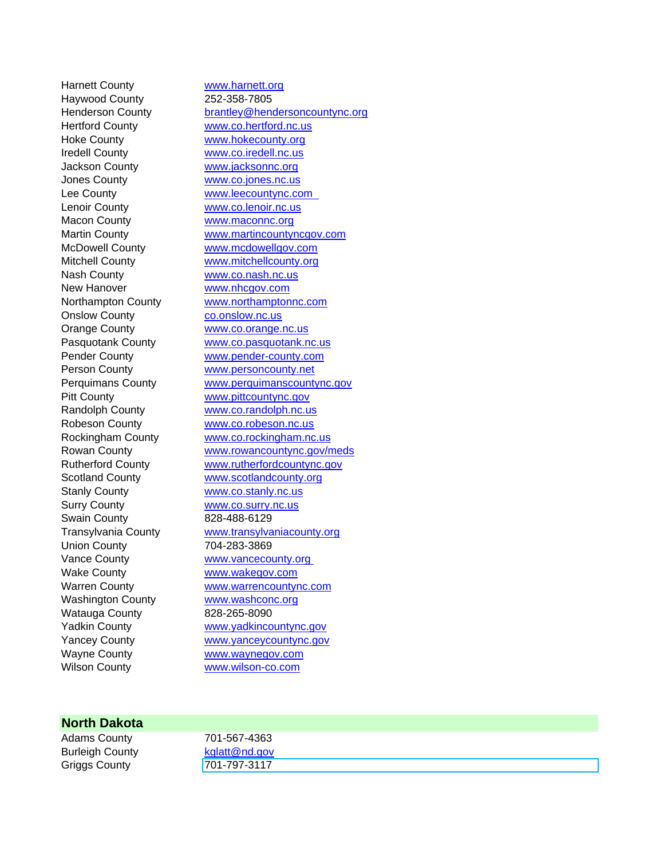Harnett County www.harnett.org Haywood County 252-358-7805 Hertford County www.co.hertford.nc.us Hoke County www.hokecounty.org Iredell County www.co.iredell.nc.us Jackson County www.jacksonnc.org Jones County www.co.jones.nc.us Lenoir County **www.co.lenoir.nc.us** Macon County **www.maconnc.org** Nash County www.co.nash.nc.us New Hanover www.nhcgov.com Onslow County **co.onslow.nc.us** Orange County www.co.orange.nc.us Pitt County **WWW.pittcountync.gov** Stanly County **WWW.CO.stanly.nc.us** Surry County **WWW.CO.SURTY.nc.us** Swain County 828-488-6129 Union County 704-283-3869 Vance County www.vancecounty.org Wake County **WARE WARE COUNTY** WWW.wakegov.com Washington County **www.washconc.org** Watauga County 828-265-8090 Wayne County **www.waynegov.com** Wilson County **www.wilson-co.com** 

Henderson County brantley@hendersoncountync.org Lee County **WWW.IEECOUNTYNC.COM** Martin County **WARK** www.martincountyncgov.com McDowell County www.mcdowellgov.com Mitchell County www.mitchellcounty.org Northampton County www.northamptonnc.com Pasquotank County www.co.pasquotank.nc.us Pender County **www.pender-county.com** Person County **www.personcounty.net** Perquimans County **www.perquimanscountync.gov** Randolph County **www.co.randolph.nc.us** Robeson County **www.co.robeson.nc.us** Rockingham County **www.co.rockingham.nc.us** Rowan County **WWW.rowancountync.gov/meds** Rutherford County www.rutherfordcountync.gov Scotland County **www.scotlandcounty.org** Transylvania County **www.transylvaniacounty.org** Warren County **www.warrencountync.com** Yadkin County www.yadkincountync.gov Yancey County **WWW.yanceycountync.gov** 

# **North Dakota**

| Adams County    | 701-567-4363  |
|-----------------|---------------|
| Burleigh County | kglatt@nd.gov |
| Griggs County   | 701-797-3117  |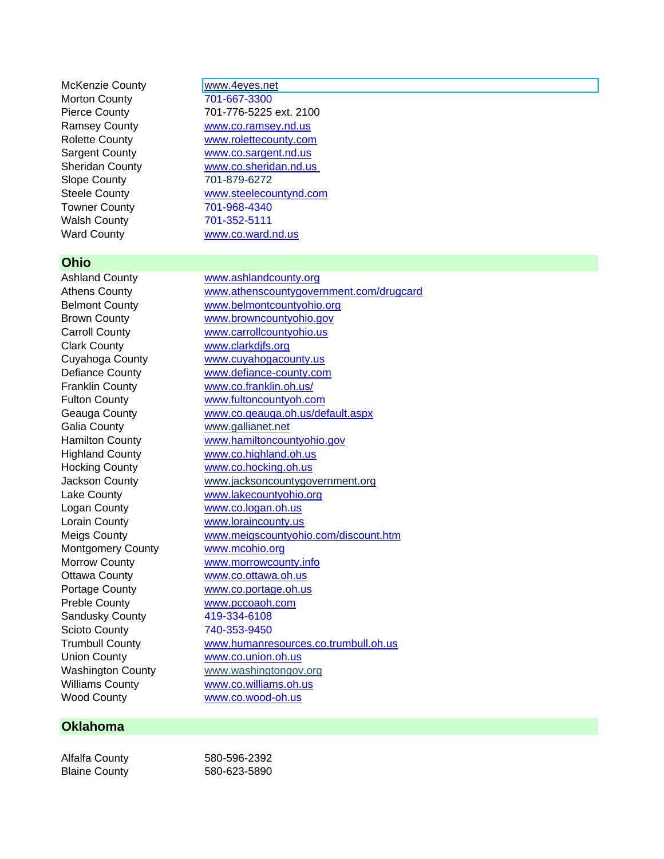McKenzie County Www.4eyes.net Morton County 701-667-3300 Slope County 701-879-6272 Towner County 701-968-4340 Walsh County **701-352-5111** 

Pierce County 701-776-5225 ext. 2100 Ramsey County www.co.ramsey.nd.us Rolette County **www.rolettecounty.com** Sargent County www.co.sargent.nd.us Sheridan County www.co.sheridan.nd.us Steele County **www.steelecountynd.com** Ward County **WWW.CO.ward.nd.us** 

# **Ohio**

Clark County www.clarkdjfs.org Galia County www.gallianet.net Logan County www.co.logan.oh.us Lorain County www.loraincounty.us Montgomery County **www.mcohio.org** Ottawa County www.co.ottawa.oh.us Preble County WWW.pccoaoh.com Sandusky County 419-334-6108 Scioto County 740-353-9450 Union County **www.co.union.oh.us** Wood County **www.co.wood-oh.us** 

Ashland County www.ashlandcounty.org Athens County www.athenscountygovernment.com/drugcard Belmont County www.belmontcountyohio.org Brown County www.browncountyohio.gov Carroll County www.carrollcountyohio.us Cuyahoga County www.cuyahogacounty.us Defiance County **www.defiance-county.com** Franklin County www.co.franklin.oh.us/ Fulton County www.fultoncountyoh.com Geauga County www.co.geauga.oh.us/default.aspx Hamilton County www.hamiltoncountyohio.gov Highland County www.co.highland.oh.us Hocking County www.co.hocking.oh.us Jackson County www.jacksoncountygovernment.org Lake County **WWW.lakecountyohio.org** Meigs County www.meigscountyohio.com/discount.htm Morrow County **www.morrowcounty.info** Portage County www.co.portage.oh.us Trumbull County www.humanresources.co.trumbull.oh.us Washington County **WASHINGTONG WWW.washingtongov.org** Williams County **Williams.oh.us** 

#### **Oklahoma**

Alfalfa County 580-596-2392

Blaine County 580-623-5890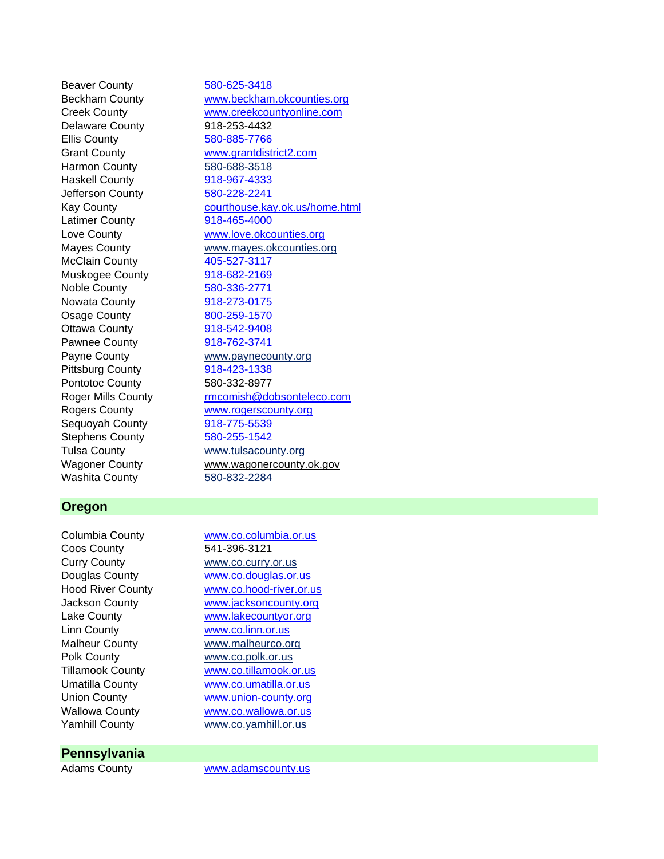Beaver County 580-625-3418 Delaware County 918-253-4432 Ellis County 580-885-7766 Harmon County 580-688-3518 Haskell County 918-967-4333 Jefferson County 580-228-2241 Latimer County 918-465-4000 McClain County 405-527-3117 Muskogee County 918-682-2169 Noble County 580-336-2771 Nowata County 918-273-0175 Osage County 800-259-1570 Ottawa County 918-542-9408 Pawnee County 918-762-3741 Pittsburg County 918-423-1338 Pontotoc County 580-332-8977 Sequoyah County 918-775-5539 Stephens County 580-255-1542 Washita County 580-832-2284

Beckham County www.beckham.okcounties.org Creek County www.creekcountyonline.com Grant County www.grantdistrict2.com Kay County **Counting Courthouse.kay.ok.us/home.html** Love County www.love.okcounties.org Mayes County **WWW.mayes.okcounties.org** Payne County Www.paynecounty.org Roger Mills County rmcomish@dobsonteleco.com Rogers County WWW.rogerscounty.org Tulsa County www.tulsacounty.org Wagoner County **WAGONET WWW.wagonercounty.ok.gov** 

# **Oregon**

Columbia County www.co.columbia.or.us Coos County 541-396-3121 Linn County www.co.linn.or.us Polk County **www.co.polk.or.us** 

Curry County www.co.curry.or.us Douglas County www.co.douglas.or.us Hood River County www.co.hood-river.or.us Jackson County **www.jacksoncounty.org** Lake County **WWW.lakecountyor.org** Malheur County **WWW.malheurco.org** Tillamook County www.co.tillamook.or.us Umatilla County www.co.umatilla.or.us Union County **www.union-county.org** Wallowa County **WALLOWA WWW.CO.Wallowa.or.us** Yamhill County www.co.yamhill.or.us

# **Pennsylvania**

Adams County WWW.adamscounty.us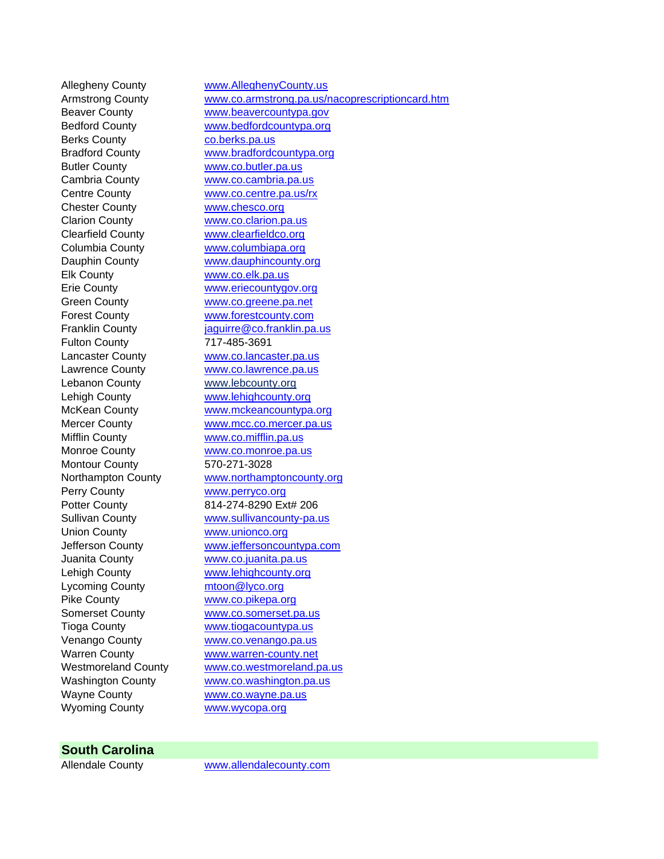Allegheny County www.AlleghenyCounty.us Berks County **co.berks.pa.us** Butler County www.co.butler.pa.us Chester County **www.chesco.org** Clearfield County www.clearfieldco.org Columbia County www.columbiapa.org Elk County www.co.elk.pa.us Fulton County 717-485-3691 Lebanon County **www.lebcounty.org** Mifflin County www.co.mifflin.pa.us Montour County 570-271-3028 Perry County WWW.perryco.org Union County **www.unionco.org** Juanita County www.co.juanita.pa.us Lycoming County mtoon@lyco.org Pike County **WWW.CO.pikepa.org** Wayne County **WWW.CO.wayne.pa.us** Wyoming County **WWW.WYCOPA.org** 

Armstrong County www.co.armstrong.pa.us/nacoprescriptioncard.htm Beaver County www.beavercountypa.gov Bedford County www.bedfordcountypa.org Bradford County www.bradfordcountypa.org Cambria County www.co.cambria.pa.us Centre County www.co.centre.pa.us/rx Clarion County www.co.clarion.pa.us Dauphin County **www.dauphincounty.org** Erie County www.eriecountygov.org Green County www.co.greene.pa.net Forest County www.forestcounty.com Franklin County **igguirre@co.franklin.pa.us** Lancaster County **www.co.lancaster.pa.us** Lawrence County www.co.lawrence.pa.us Lehigh County **www.lehighcounty.org** McKean County **www.mckeancountypa.org** Mercer County **www.mcc.co.mercer.pa.us** Monroe County **www.co.monroe.pa.us** Northampton County www.northamptoncounty.org Potter County 814-274-8290 Ext# 206 Sullivan County www.sullivancounty-pa.us Jefferson County www.jeffersoncountypa.com Lehigh County **WWW.lehighcounty.org** Somerset County www.co.somerset.pa.us Tioga County www.tiogacountypa.us Venango County www.co.venango.pa.us Warren County **WWW.warren-county.net** Westmoreland County www.co.westmoreland.pa.us Washington County **www.co.washington.pa.us** 

#### **South Carolina**

Allendale County www.allendalecounty.com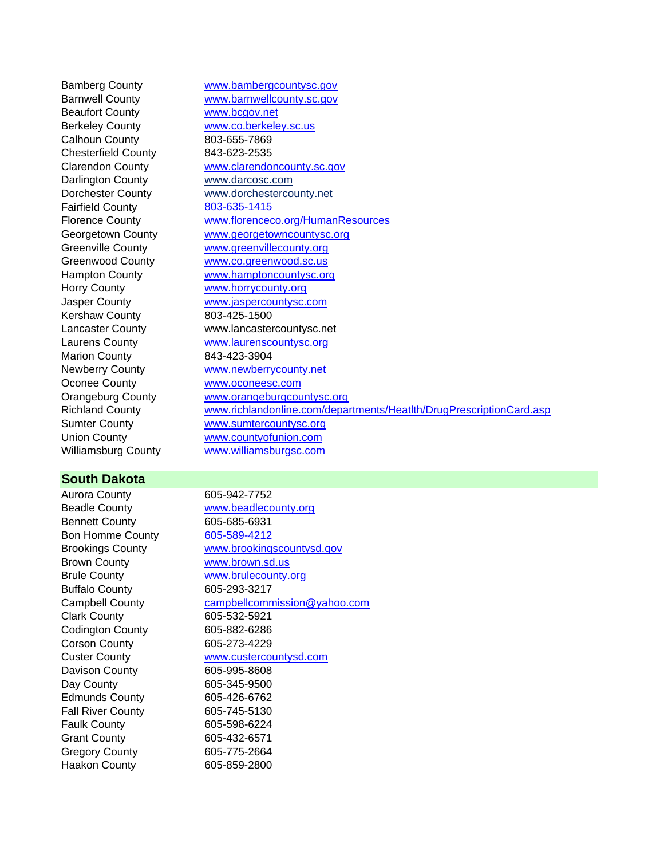Bamberg County www.bambergcountysc.gov Beaufort County www.bcgov.net Berkeley County www.co.berkeley.sc.us Calhoun County 803-655-7869 Chesterfield County 843-623-2535 Darlington County www.darcosc.com Fairfield County 803-635-1415 Horry County www.horrycounty.org Kershaw County 803-425-1500 Marion County 843-423-3904 Oconee County www.oconeesc.com Williamsburg County www.williamsburgsc.com

Barnwell County www.barnwellcounty.sc.gov Clarendon County www.clarendoncounty.sc.gov Dorchester County www.dorchestercounty.net Florence County www.florenceco.org/HumanResources Georgetown County www.georgetowncountysc.org Greenville County www.greenvillecounty.org Greenwood County www.co.greenwood.sc.us Hampton County www.hamptoncountysc.org Jasper County www.jaspercountysc.com Lancaster County **www.lancastercountysc.net** Laurens County www.laurenscountysc.org Newberry County www.newberrycounty.net Orangeburg County www.orangeburgcountysc.org Richland County www.richlandonline.com/departments/Heatlth/DrugPrescriptionCard.asp Sumter County **WWW.Sumtercountysc.org** Union County **WWW.countyofunion.com** 

#### **South Dakota**

Aurora County 605-942-7752 Bennett County 605-685-6931 Bon Homme County 605-589-4212 Brown County www.brown.sd.us Buffalo County 605-293-3217 Clark County 605-532-5921 Codington County 605-882-6286 Corson County 605-273-4229 Davison County 605-995-8608 Day County 605-345-9500 Edmunds County 605-426-6762 Fall River County 605-745-5130 Faulk County 605-598-6224 Grant County 605-432-6571 Gregory County 605-775-2664 Haakon County 605-859-2800

Beadle County www.beadlecounty.org Brookings County **www.brookingscountysd.gov** Brule County www.brulecounty.org Campbell County campbellcommission@yahoo.com Custer County **www.custercountysd.com**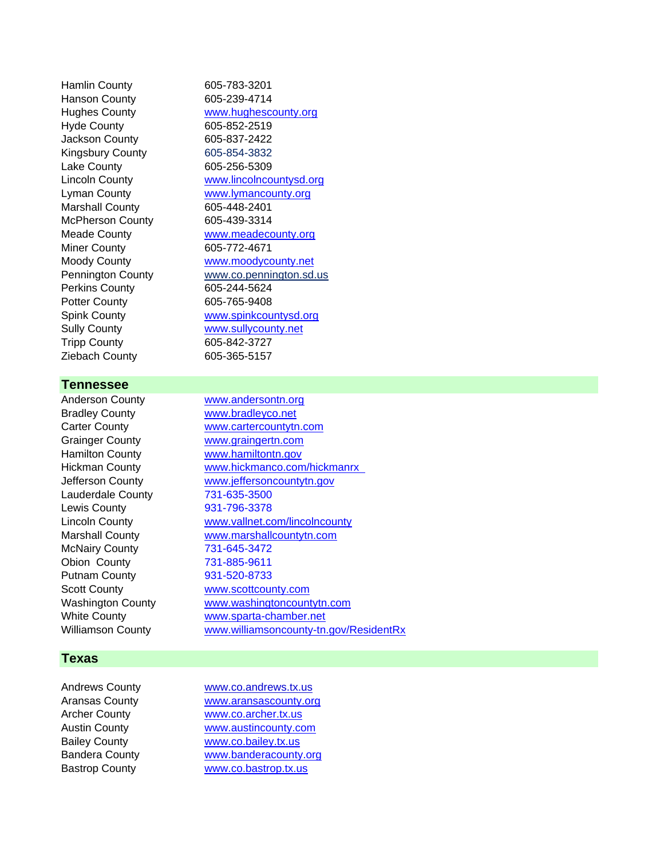Hamlin County 605-783-3201 Hanson County 605-239-4714 Hyde County 605-852-2519 Jackson County 605-837-2422 Kingsbury County 605-854-3832 Lake County 605-256-5309 Marshall County 605-448-2401 McPherson County 605-439-3314 Miner County 605-772-4671 Perkins County 605-244-5624 Potter County 605-765-9408 Tripp County 605-842-3727 Ziebach County 605-365-5157

# **Tennessee**

Bradley County www.bradleyco.net Hamilton County www.hamiltontn.gov Lauderdale County 731-635-3500 Lewis County 931-796-3378 McNairy County 731-645-3472 Obion County 731-885-9611 Putnam County 931-520-8733

Hughes County www.hughescounty.org Lincoln County www.lincolncountysd.org Lyman County **WWW.lymancounty.org** Meade County www.meadecounty.org Moody County **www.moodycounty.net** Pennington County www.co.pennington.sd.us Spink County **WWW.Spinkcountysd.org** Sully County **www.sullycounty.net** 

Anderson County Www.andersontn.org Carter County www.cartercountytn.com Grainger County www.graingertn.com Hickman County www.hickmanco.com/hickmanrx Jefferson County www.jeffersoncountytn.gov Lincoln County www.vallnet.com/lincolncounty Marshall County www.marshallcountytn.com Scott County **www.scottcounty.com** Washington County **www.washingtoncountytn.com** White County **WARE WWW.Sparta-chamber.net** Williamson County www.williamsoncounty-tn.gov/ResidentRx

# **Texas**

Andrews County www.co.andrews.tx.us

Aransas County www.aransascounty.org Archer County **www.co.archer.tx.us** Austin County www.austincounty.com Bailey County www.co.bailey.tx.us Bandera County www.banderacounty.org Bastrop County WWW.co.bastrop.tx.us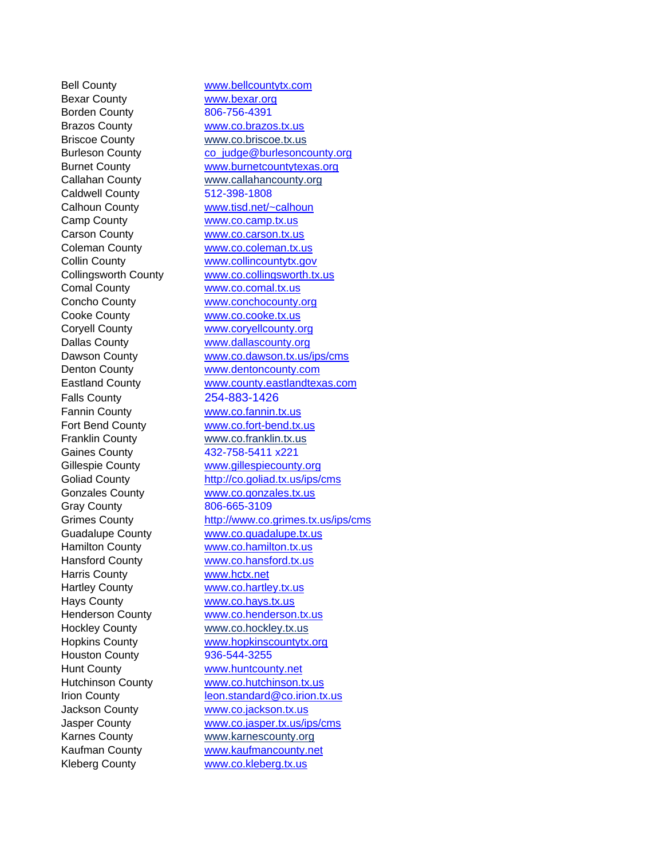Bell County www.bellcountytx.com Bexar County Www.bexar.org Borden County 806-756-4391 Brazos County www.co.brazos.tx.us Briscoe County **www.co.briscoe.tx.us** Caldwell County 512-398-1808 Camp County www.co.camp.tx.us Carson County www.co.carson.tx.us Comal County www.co.comal.tx.us Cooke County www.co.cooke.tx.us Falls County 254-883-1426 Fannin County www.co.fannin.tx.us Franklin County www.co.franklin.tx.us Gaines County 432-758-5411 x221 Gray County 806-665-3109 Harris County www.hctx.net Hartley County www.co.hartley.tx.us Hays County www.co.hays.tx.us Hockley County www.co.hockley.tx.us Houston County 936-544-3255 Hunt County www.huntcounty.net Jackson County www.co.jackson.tx.us Kleberg County www.co.kleberg.tx.us

Burleson County co\_judge@burlesoncounty.org Burnet County www.burnetcountytexas.org Callahan County www.callahancounty.org Calhoun County www.tisd.net/~calhoun Coleman County www.co.coleman.tx.us Collin County www.collincountytx.gov Collingsworth County www.co.collingsworth.tx.us Concho County www.conchocounty.org Coryell County www.coryellcounty.org Dallas County www.dallascounty.org Dawson County **www.co.dawson.tx.us/ips/cms** Denton County **www.dentoncounty.com** Eastland County www.county.eastlandtexas.com Fort Bend County www.co.fort-bend.tx.us Gillespie County **www.gillespiecounty.org** Goliad County http://co.goliad.tx.us/ips/cms Gonzales County www.co.gonzales.tx.us Grimes County http://www.co.grimes.tx.us/ips/cms Guadalupe County www.co.guadalupe.tx.us Hamilton County www.co.hamilton.tx.us Hansford County www.co.hansford.tx.us Henderson County **www.co.henderson.tx.us** Hopkins County www.hopkinscountytx.org Hutchinson County www.co.hutchinson.tx.us Irion County leon.standard@co.irion.tx.us Jasper County www.co.jasper.tx.us/ips/cms Karnes County www.karnescounty.org Kaufman County www.kaufmancounty.net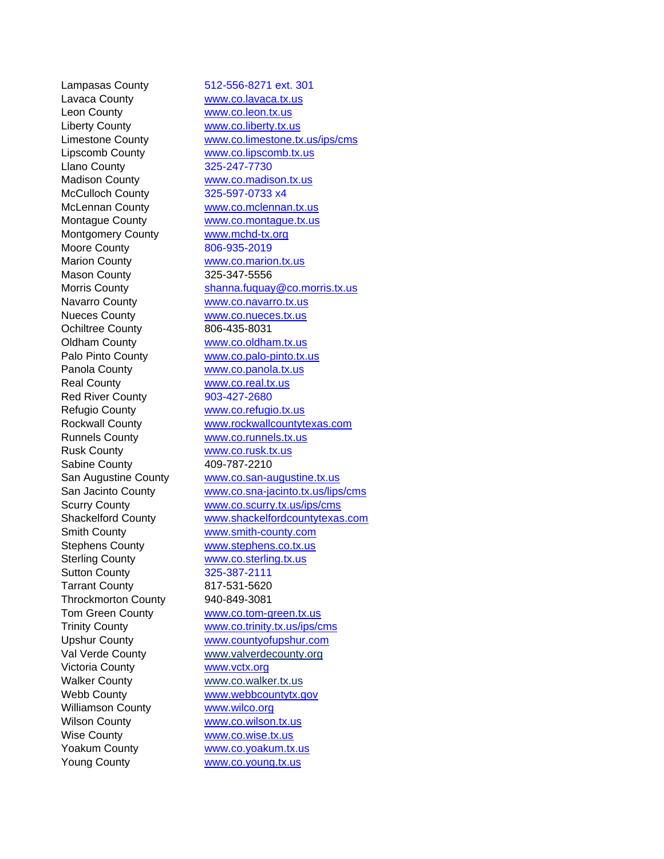Lampasas County 512-556-8271 ext. 301 Lavaca County www.co.lavaca.tx.us Leon County **WWW.co.leon.tx.us** Liberty County **WWW.CO.liberty.tx.us** Lipscomb County www.co.lipscomb.tx.us Llano County 325-247-7730 Madison County www.co.madison.tx.us McCulloch County 325-597-0733 x4 Montgomery County **www.mchd-tx.org** Moore County 806-935-2019 Marion County **www.co.marion.tx.us** Mason County 325-347-5556 Navarro County www.co.navarro.tx.us Nueces County www.co.nueces.tx.us Ochiltree County 806-435-8031 Oldham County www.co.oldham.tx.us Panola County www.co.panola.tx.us Real County Www.co.real.tx.us Red River County 903-427-2680 Refugio County www.co.refugio.tx.us Runnels County www.co.runnels.tx.us Rusk County www.co.rusk.tx.us Sabine County **409-787-2210** Stephens County www.stephens.co.tx.us Sterling County **www.co.sterling.tx.us** Sutton County 325-387-2111 Tarrant County 817-531-5620 Throckmorton County 940-849-3081 Victoria County www.vctx.org Walker County **WALKER WWW.CO.walker.tx.us** Williamson County **www.wilco.org** Wilson County **www.co.wilson.tx.us** Wise County **Wise County www.co.wise.tx.us** Yoakum County www.co.yoakum.tx.us Young County www.co.young.tx.us

Limestone County www.co.limestone.tx.us/ips/cms McLennan County **www.co.mclennan.tx.us** Montague County www.co.montague.tx.us Morris County **Shanna.fuguay@co.morris.tx.us** Palo Pinto County **www.co.palo-pinto.tx.us** Rockwall County www.rockwallcountytexas.com San Augustine County www.co.san-augustine.tx.us San Jacinto County www.co.sna-jacinto.tx.us/lips/cms Scurry County WWW.co.scurry.tx.us/ips/cms Shackelford County www.shackelfordcountytexas.com Smith County www.smith-county.com Tom Green County www.co.tom-green.tx.us Trinity County www.co.trinity.tx.us/ips/cms Upshur County www.countyofupshur.com Val Verde County www.valverdecounty.org Webb County **www.webbcountytx.gov**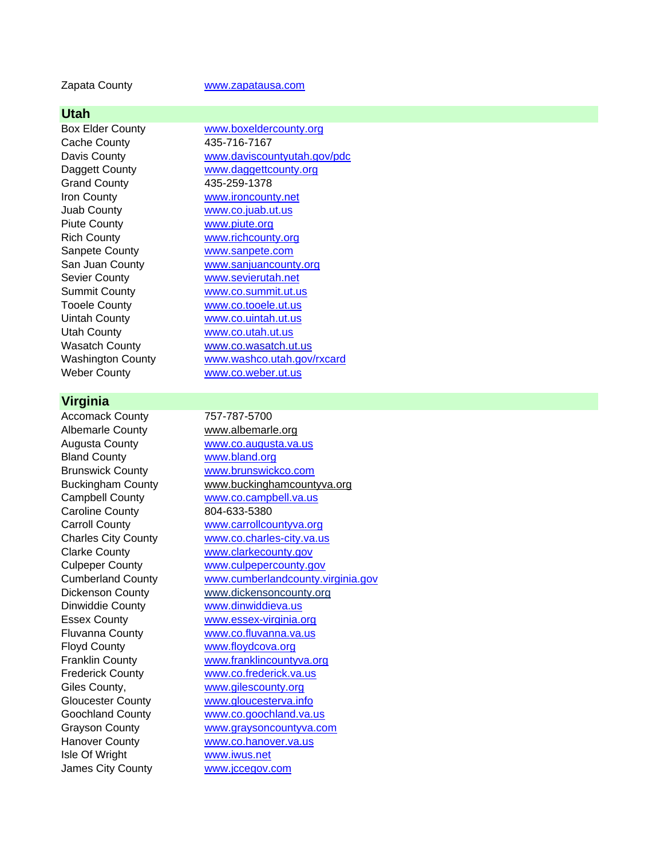#### Zapata County www.zapatausa.com

#### **Utah**

Cache County 435-716-7167 Grand County 435-259-1378 Iron County WWW.ironcounty.net Juab County www.co.juab.ut.us Piute County **www.piute.org** Rich County www.richcounty.org Sanpete County WWW.sanpete.com Sevier County www.sevierutah.net Utah County www.co.utah.ut.us Weber County **www.co.weber.ut.us** 

#### **Virginia**

Accomack County 757-787-5700 Albemarle County www.albemarle.org Bland County www.bland.org Caroline County 804-633-5380 Dinwiddie County www.dinwiddieva.us Floyd County www.floydcova.org Giles County, www.gilescounty.org Isle Of Wright www.iwus.net James City County **www.jccegov.com** 

Box Elder County www.boxeldercounty.org Davis County www.daviscountyutah.gov/pdc Daggett County www.daggettcounty.org San Juan County **www.sanjuancounty.org** Summit County www.co.summit.ut.us Tooele County www.co.tooele.ut.us Uintah County www.co.uintah.ut.us Wasatch County **www.co.wasatch.ut.us** Washington County www.washco.utah.gov/rxcard

Augusta County www.co.augusta.va.us Brunswick County **www.brunswickco.com** Buckingham County www.buckinghamcountyva.org Campbell County www.co.campbell.va.us Carroll County **www.carrollcountyva.org** Charles City County www.co.charles-city.va.us Clarke County www.clarkecounty.gov Culpeper County www.culpepercounty.gov Cumberland County www.cumberlandcounty.virginia.gov Dickenson County www.dickensoncounty.org Essex County WWW.essex-virginia.org Fluvanna County www.co.fluvanna.va.us Franklin County www.franklincountyva.org Frederick County www.co.frederick.va.us Gloucester County www.gloucesterva.info Goochland County www.co.goochland.va.us Grayson County www.graysoncountyva.com Hanover County www.co.hanover.va.us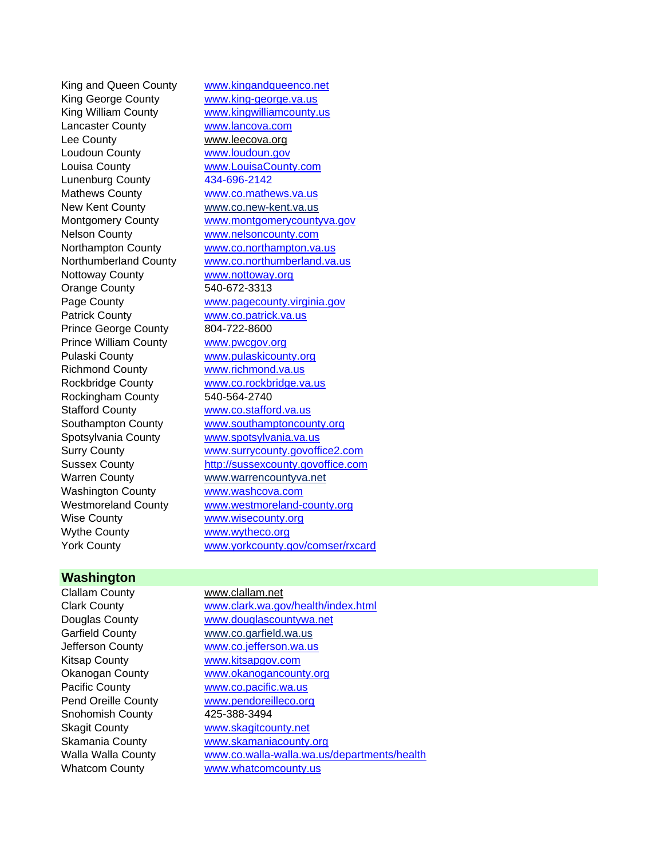King and Queen County www.kingandqueenco.net King George County www.king-george.va.us Lancaster County www.lancova.com Lee County **WWW.leecova.org** Loudoun County www.loudoun.gov Louisa County www.LouisaCounty.com Lunenburg County 434-696-2142 Mathews County www.co.mathews.va.us New Kent County **WWW.CO.new-kent.va.us** Nelson County www.nelsoncounty.com Nottoway County www.nottoway.org Orange County 540-672-3313 Patrick County www.co.patrick.va.us Prince George County 804-722-8600 Prince William County www.pwcgov.org Pulaski County **www.pulaskicounty.org** Richmond County www.richmond.va.us Rockingham County 540-564-2740 Stafford County **www.co.stafford.va.us** Spotsylvania County www.spotsylvania.va.us Washington County **www.washcova.com** Wise County **Wise County Wise County** www.wisecounty.org Wythe County **www.wytheco.org** York County www.yorkcounty.gov/comser/rxcard

King William County www.kingwilliamcounty.us Montgomery County www.montgomerycountyva.gov Northampton County www.co.northampton.va.us Northumberland County www.co.northumberland.va.us Page County **WWW.pagecounty.virginia.gov** Rockbridge County www.co.rockbridge.va.us Southampton County www.southamptoncounty.org Surry County www.surrycounty.govoffice2.com Sussex County http://sussexcounty.govoffice.com Warren County **WARED WWW.warrencountyva.net** Westmoreland County www.westmoreland-county.org

# **Washington**

Clallam County www.clallam.net Kitsap County **www.kitsapgov.com** Snohomish County 425-388-3494 Whatcom County **www.whatcomcounty.us** 

Clark County www.clark.wa.gov/health/index.html Douglas County **www.douglascountywa.net** Garfield County www.co.garfield.wa.us Jefferson County www.co.jefferson.wa.us Okanogan County **www.okanogancounty.org** Pacific County **www.co.pacific.wa.us** Pend Oreille County www.pendoreilleco.org Skagit County **www.skagitcounty.net** Skamania County www.skamaniacounty.org Walla Walla County www.co.walla-walla.wa.us/departments/health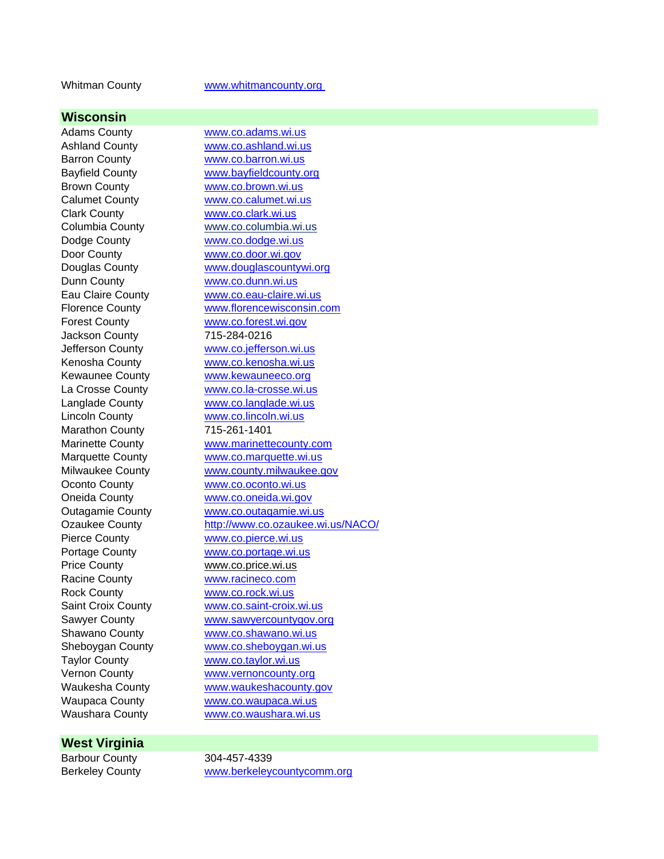#### **Wisconsin**

Adams County www.co.adams.wi.us Ashland County www.co.ashland.wi.us Barron County www.co.barron.wi.us Bayfield County **www.bayfieldcounty.org** Brown County www.co.brown.wi.us Calumet County www.co.calumet.wi.us Clark County www.co.clark.wi.us Columbia County www.co.columbia.wi.us Dodge County **www.co.dodge.wi.us** Door County **www.co.door.wi.gov** Douglas County www.douglascountywi.org Dunn County **www.co.dunn.wi.us** Eau Claire County www.co.eau-claire.wi.us Florence County www.florencewisconsin.com Forest County WWW.co.forest.wi.gov Jackson County 715-284-0216 Jefferson County www.co.jefferson.wi.us Kenosha County www.co.kenosha.wi.us Kewaunee County www.kewauneeco.org La Crosse County **www.co.la-crosse.wi.us** Langlade County www.co.langlade.wi.us Lincoln County www.co.lincoln.wi.us Marathon County 715-261-1401 Marinette County www.marinettecounty.com Marquette County **www.co.marquette.wi.us** Milwaukee County **www.county.milwaukee.gov** Oconto County www.co.oconto.wi.us Oneida County www.co.oneida.wi.gov Outagamie County www.co.outagamie.wi.us Ozaukee County http://www.co.ozaukee.wi.us/NACO/ Pierce County **www.co.pierce.wi.us** Portage County www.co.portage.wi.us Price County **WWW.CO.price.wi.us** Racine County **WWW.racineco.com** Rock County www.co.rock.wi.us Saint Croix County www.co.saint-croix.wi.us Sawyer County WWW.sawyercountygov.org Shawano County www.co.shawano.wi.us Sheboygan County www.co.sheboygan.wi.us Taylor County www.co.taylor.wi.us Vernon County www.vernoncounty.org Waukesha County **www.waukeshacounty.gov** Waupaca County www.co.waupaca.wi.us Waushara County **www.co.waushara.wi.us** 

**West Virginia**

Barbour County 304-457-4339

Berkeley County www.berkeleycountycomm.org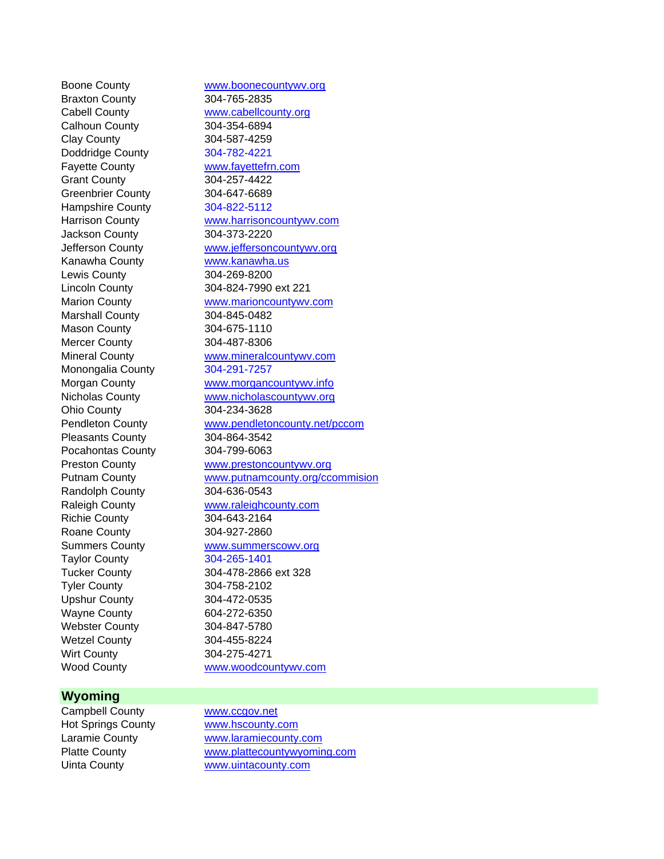Boone County www.boonecountywv.org Braxton County 304-765-2835 Calhoun County 304-354-6894 Clay County 304-587-4259 Doddridge County 304-782-4221 Fayette County **www.fayettefrn.com** Grant County 304-257-4422 Greenbrier County 304-647-6689 Hampshire County 304-822-5112 Jackson County 304-373-2220 Kanawha County www.kanawha.us Lewis County 304-269-8200 Marshall County 304-845-0482 Mason County 304-675-1110 Mercer County 304-487-8306 Monongalia County 304-291-7257 Ohio County 304-234-3628 Pleasants County 304-864-3542 Pocahontas County 304-799-6063 Randolph County 304-636-0543 Richie County 304-643-2164 Roane County 304-927-2860 Taylor County 304-265-1401 Tyler County 304-758-2102 Upshur County 304-472-0535 Wayne County 604-272-6350 Webster County 304-847-5780 Wetzel County 304-455-8224 Wirt County 304-275-4271 Wood County **www.woodcountywv.com** 

Cabell County www.cabellcounty.org Harrison County www.harrisoncountywv.com Jefferson County www.jeffersoncountywv.org Lincoln County 304-824-7990 ext 221 Marion County **www.marioncountywv.com** Mineral County **www.mineralcountywv.com** Morgan County **www.morgancountywv.info** Nicholas County www.nicholascountywv.org Pendleton County www.pendletoncounty.net/pccom Preston County **www.prestoncountywv.org** Putnam County www.putnamcounty.org/ccommision Raleigh County **www.raleighcounty.com** Summers County www.summerscowv.org Tucker County 304-478-2866 ext 328

# **Wyoming**

Campbell County www.ccgov.net Hot Springs County www.hscounty.com

Laramie County www.laramiecounty.com Platte County **WWW.plattecountywyoming.com** Uinta County www.uintacounty.com